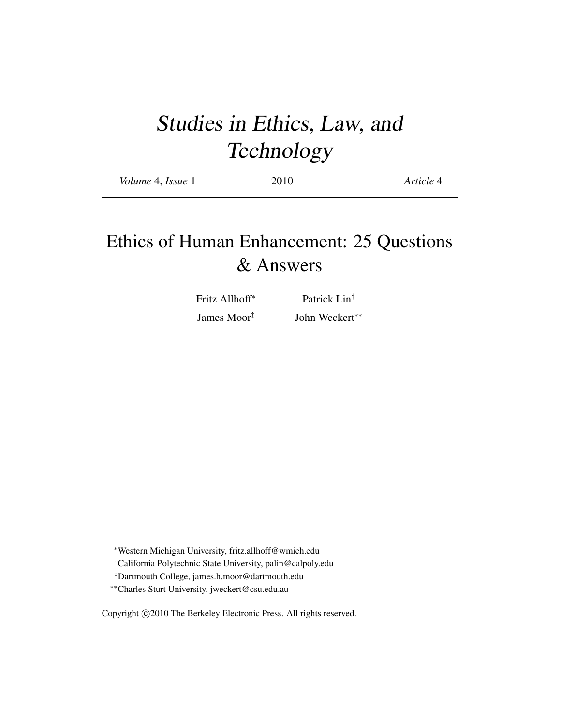# Studies in Ethics, Law, and **Technology**

| Volume 4, Issue 1 | 2010 | Article 4 |
|-------------------|------|-----------|
|                   |      |           |

## Ethics of Human Enhancement: 25 Questions & Answers

James Moor‡

Fritz Allhoff<sup>∗</sup> Patrick Lin† John Weckert∗∗

<sup>∗</sup>Western Michigan University, fritz.allhoff@wmich.edu

†California Polytechnic State University, palin@calpoly.edu

‡Dartmouth College, james.h.moor@dartmouth.edu

∗∗Charles Sturt University, jweckert@csu.edu.au

Copyright ©2010 The Berkeley Electronic Press. All rights reserved.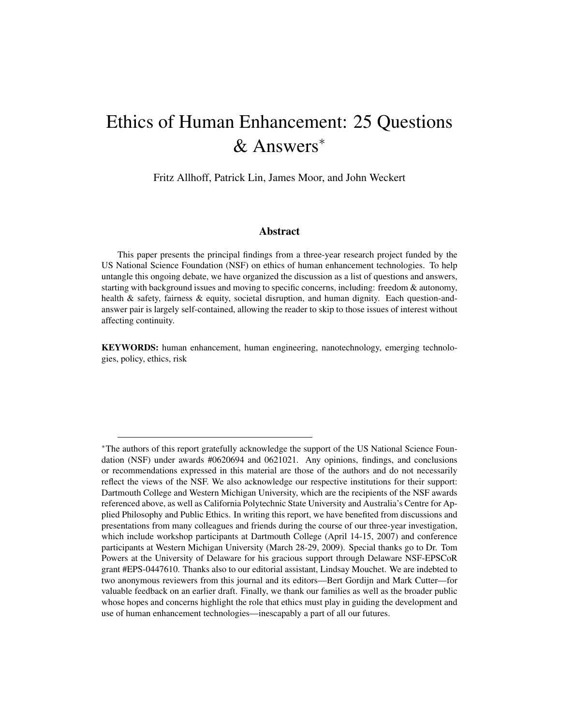## Ethics of Human Enhancement: 25 Questions & Answers<sup>∗</sup>

Fritz Allhoff, Patrick Lin, James Moor, and John Weckert

#### Abstract

This paper presents the principal findings from a three-year research project funded by the US National Science Foundation (NSF) on ethics of human enhancement technologies. To help untangle this ongoing debate, we have organized the discussion as a list of questions and answers, starting with background issues and moving to specific concerns, including: freedom & autonomy, health & safety, fairness & equity, societal disruption, and human dignity. Each question-andanswer pair is largely self-contained, allowing the reader to skip to those issues of interest without affecting continuity.

KEYWORDS: human enhancement, human engineering, nanotechnology, emerging technologies, policy, ethics, risk

<sup>∗</sup>The authors of this report gratefully acknowledge the support of the US National Science Foundation (NSF) under awards #0620694 and 0621021. Any opinions, findings, and conclusions or recommendations expressed in this material are those of the authors and do not necessarily reflect the views of the NSF. We also acknowledge our respective institutions for their support: Dartmouth College and Western Michigan University, which are the recipients of the NSF awards referenced above, as well as California Polytechnic State University and Australia's Centre for Applied Philosophy and Public Ethics. In writing this report, we have benefited from discussions and presentations from many colleagues and friends during the course of our three-year investigation, which include workshop participants at Dartmouth College (April 14-15, 2007) and conference participants at Western Michigan University (March 28-29, 2009). Special thanks go to Dr. Tom Powers at the University of Delaware for his gracious support through Delaware NSF-EPSCoR grant #EPS-0447610. Thanks also to our editorial assistant, Lindsay Mouchet. We are indebted to two anonymous reviewers from this journal and its editors—Bert Gordijn and Mark Cutter—for valuable feedback on an earlier draft. Finally, we thank our families as well as the broader public whose hopes and concerns highlight the role that ethics must play in guiding the development and use of human enhancement technologies—inescapably a part of all our futures.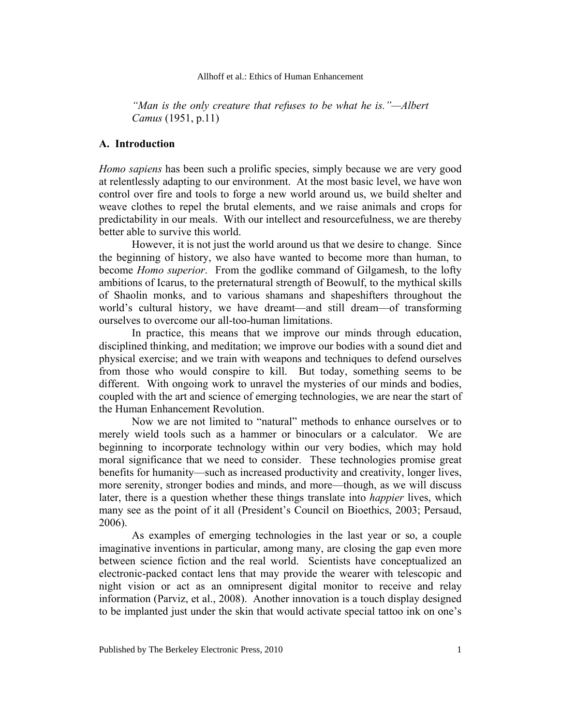*"Man is the only creature that refuses to be what he is."—Albert Camus* (1951, p.11)

#### **A. Introduction**

*Homo sapiens* has been such a prolific species, simply because we are very good at relentlessly adapting to our environment. At the most basic level, we have won control over fire and tools to forge a new world around us, we build shelter and weave clothes to repel the brutal elements, and we raise animals and crops for predictability in our meals. With our intellect and resourcefulness, we are thereby better able to survive this world.

However, it is not just the world around us that we desire to change. Since the beginning of history, we also have wanted to become more than human, to become *Homo superior*. From the godlike command of Gilgamesh, to the lofty ambitions of Icarus, to the preternatural strength of Beowulf, to the mythical skills of Shaolin monks, and to various shamans and shapeshifters throughout the world's cultural history, we have dreamt—and still dream—of transforming ourselves to overcome our all-too-human limitations.

In practice, this means that we improve our minds through education, disciplined thinking, and meditation; we improve our bodies with a sound diet and physical exercise; and we train with weapons and techniques to defend ourselves from those who would conspire to kill. But today, something seems to be different. With ongoing work to unravel the mysteries of our minds and bodies, coupled with the art and science of emerging technologies, we are near the start of the Human Enhancement Revolution.

Now we are not limited to "natural" methods to enhance ourselves or to merely wield tools such as a hammer or binoculars or a calculator. We are beginning to incorporate technology within our very bodies, which may hold moral significance that we need to consider. These technologies promise great benefits for humanity—such as increased productivity and creativity, longer lives, more serenity, stronger bodies and minds, and more—though, as we will discuss later, there is a question whether these things translate into *happier* lives, which many see as the point of it all (President's Council on Bioethics, 2003; Persaud, 2006).

As examples of emerging technologies in the last year or so, a couple imaginative inventions in particular, among many, are closing the gap even more between science fiction and the real world. Scientists have conceptualized an electronic-packed contact lens that may provide the wearer with telescopic and night vision or act as an omnipresent digital monitor to receive and relay information (Parviz, et al., 2008). Another innovation is a touch display designed to be implanted just under the skin that would activate special tattoo ink on one's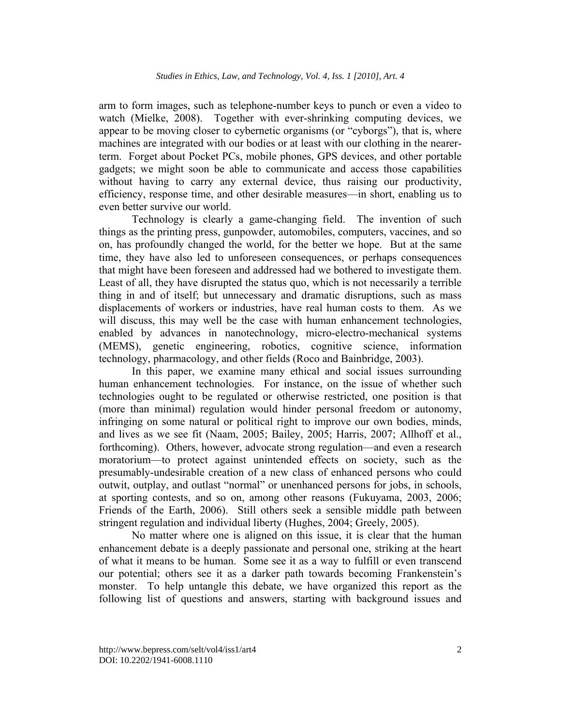arm to form images, such as telephone-number keys to punch or even a video to watch (Mielke, 2008). Together with ever-shrinking computing devices, we appear to be moving closer to cybernetic organisms (or "cyborgs"), that is, where machines are integrated with our bodies or at least with our clothing in the nearerterm. Forget about Pocket PCs, mobile phones, GPS devices, and other portable gadgets; we might soon be able to communicate and access those capabilities without having to carry any external device, thus raising our productivity, efficiency, response time, and other desirable measures—in short, enabling us to even better survive our world.

Technology is clearly a game-changing field. The invention of such things as the printing press, gunpowder, automobiles, computers, vaccines, and so on, has profoundly changed the world, for the better we hope. But at the same time, they have also led to unforeseen consequences, or perhaps consequences that might have been foreseen and addressed had we bothered to investigate them. Least of all, they have disrupted the status quo, which is not necessarily a terrible thing in and of itself; but unnecessary and dramatic disruptions, such as mass displacements of workers or industries, have real human costs to them. As we will discuss, this may well be the case with human enhancement technologies, enabled by advances in nanotechnology, micro-electro-mechanical systems (MEMS), genetic engineering, robotics, cognitive science, information technology, pharmacology, and other fields (Roco and Bainbridge, 2003).

In this paper, we examine many ethical and social issues surrounding human enhancement technologies. For instance, on the issue of whether such technologies ought to be regulated or otherwise restricted, one position is that (more than minimal) regulation would hinder personal freedom or autonomy, infringing on some natural or political right to improve our own bodies, minds, and lives as we see fit (Naam, 2005; Bailey, 2005; Harris, 2007; Allhoff et al., forthcoming). Others, however, advocate strong regulation—and even a research moratorium—to protect against unintended effects on society, such as the presumably-undesirable creation of a new class of enhanced persons who could outwit, outplay, and outlast "normal" or unenhanced persons for jobs, in schools, at sporting contests, and so on, among other reasons (Fukuyama, 2003, 2006; Friends of the Earth, 2006). Still others seek a sensible middle path between stringent regulation and individual liberty (Hughes, 2004; Greely, 2005).

No matter where one is aligned on this issue, it is clear that the human enhancement debate is a deeply passionate and personal one, striking at the heart of what it means to be human. Some see it as a way to fulfill or even transcend our potential; others see it as a darker path towards becoming Frankenstein's monster. To help untangle this debate, we have organized this report as the following list of questions and answers, starting with background issues and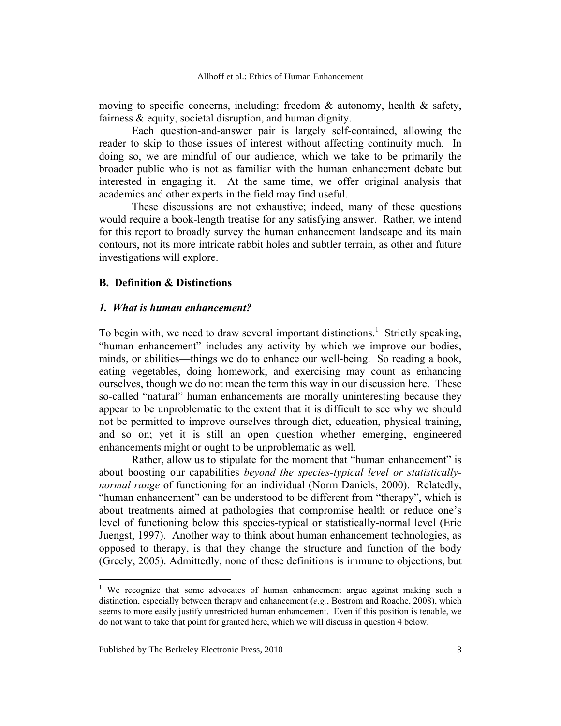moving to specific concerns, including: freedom  $\&$  autonomy, health  $\&$  safety, fairness & equity, societal disruption, and human dignity.

Each question-and-answer pair is largely self-contained, allowing the reader to skip to those issues of interest without affecting continuity much. In doing so, we are mindful of our audience, which we take to be primarily the broader public who is not as familiar with the human enhancement debate but interested in engaging it. At the same time, we offer original analysis that academics and other experts in the field may find useful.

These discussions are not exhaustive; indeed, many of these questions would require a book-length treatise for any satisfying answer. Rather, we intend for this report to broadly survey the human enhancement landscape and its main contours, not its more intricate rabbit holes and subtler terrain, as other and future investigations will explore.

## **B. Definition & Distinctions**

#### *1. What is human enhancement?*

To begin with, we need to draw several important distinctions.<sup>1</sup> Strictly speaking, "human enhancement" includes any activity by which we improve our bodies, minds, or abilities—things we do to enhance our well-being. So reading a book, eating vegetables, doing homework, and exercising may count as enhancing ourselves, though we do not mean the term this way in our discussion here. These so-called "natural" human enhancements are morally uninteresting because they appear to be unproblematic to the extent that it is difficult to see why we should not be permitted to improve ourselves through diet, education, physical training, and so on; yet it is still an open question whether emerging, engineered enhancements might or ought to be unproblematic as well.

Rather, allow us to stipulate for the moment that "human enhancement" is about boosting our capabilities *beyond the species-typical level or statisticallynormal range* of functioning for an individual (Norm Daniels, 2000). Relatedly, "human enhancement" can be understood to be different from "therapy", which is about treatments aimed at pathologies that compromise health or reduce one's level of functioning below this species-typical or statistically-normal level (Eric Juengst, 1997). Another way to think about human enhancement technologies, as opposed to therapy, is that they change the structure and function of the body (Greely, 2005). Admittedly, none of these definitions is immune to objections, but

 $\overline{a}$ 

<sup>&</sup>lt;sup>1</sup> We recognize that some advocates of human enhancement argue against making such a distinction, especially between therapy and enhancement (*e.g.*, Bostrom and Roache, 2008), which seems to more easily justify unrestricted human enhancement. Even if this position is tenable, we do not want to take that point for granted here, which we will discuss in question 4 below.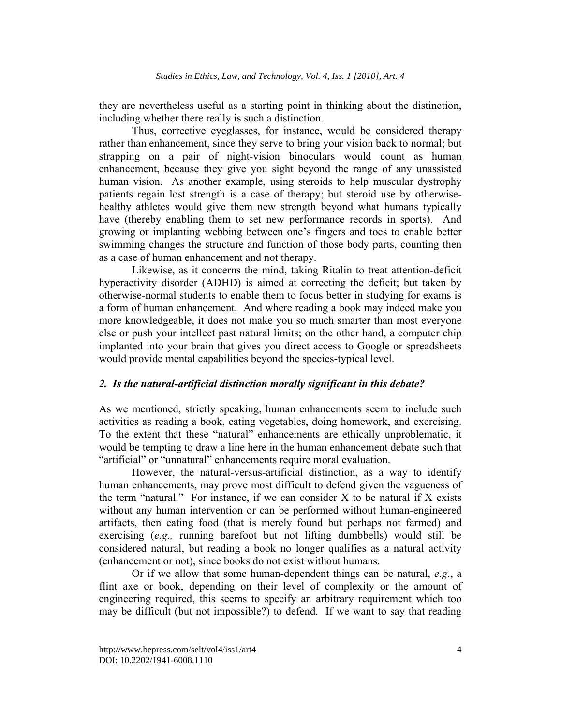they are nevertheless useful as a starting point in thinking about the distinction, including whether there really is such a distinction.

Thus, corrective eyeglasses, for instance, would be considered therapy rather than enhancement, since they serve to bring your vision back to normal; but strapping on a pair of night-vision binoculars would count as human enhancement, because they give you sight beyond the range of any unassisted human vision. As another example, using steroids to help muscular dystrophy patients regain lost strength is a case of therapy; but steroid use by otherwisehealthy athletes would give them new strength beyond what humans typically have (thereby enabling them to set new performance records in sports). And growing or implanting webbing between one's fingers and toes to enable better swimming changes the structure and function of those body parts, counting then as a case of human enhancement and not therapy.

Likewise, as it concerns the mind, taking Ritalin to treat attention-deficit hyperactivity disorder (ADHD) is aimed at correcting the deficit; but taken by otherwise-normal students to enable them to focus better in studying for exams is a form of human enhancement. And where reading a book may indeed make you more knowledgeable, it does not make you so much smarter than most everyone else or push your intellect past natural limits; on the other hand, a computer chip implanted into your brain that gives you direct access to Google or spreadsheets would provide mental capabilities beyond the species-typical level.

## *2. Is the natural-artificial distinction morally significant in this debate?*

As we mentioned, strictly speaking, human enhancements seem to include such activities as reading a book, eating vegetables, doing homework, and exercising. To the extent that these "natural" enhancements are ethically unproblematic, it would be tempting to draw a line here in the human enhancement debate such that "artificial" or "unnatural" enhancements require moral evaluation.

However, the natural-versus-artificial distinction, as a way to identify human enhancements, may prove most difficult to defend given the vagueness of the term "natural." For instance, if we can consider  $X$  to be natural if  $X$  exists without any human intervention or can be performed without human-engineered artifacts, then eating food (that is merely found but perhaps not farmed) and exercising (*e.g.,* running barefoot but not lifting dumbbells) would still be considered natural, but reading a book no longer qualifies as a natural activity (enhancement or not), since books do not exist without humans.

Or if we allow that some human-dependent things can be natural, *e.g.*, a flint axe or book, depending on their level of complexity or the amount of engineering required, this seems to specify an arbitrary requirement which too may be difficult (but not impossible?) to defend. If we want to say that reading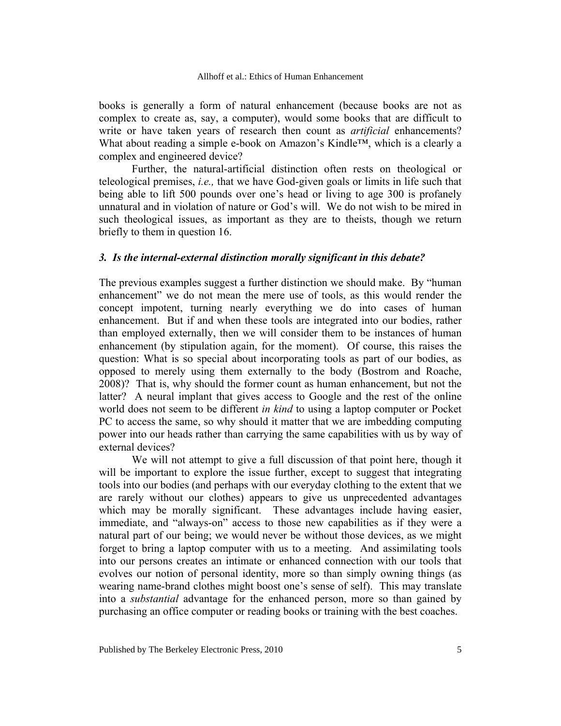books is generally a form of natural enhancement (because books are not as complex to create as, say, a computer), would some books that are difficult to write or have taken years of research then count as *artificial* enhancements? What about reading a simple e-book on Amazon's Kindle™, which is a clearly a complex and engineered device?

Further, the natural-artificial distinction often rests on theological or teleological premises, *i.e.,* that we have God-given goals or limits in life such that being able to lift 500 pounds over one's head or living to age 300 is profanely unnatural and in violation of nature or God's will. We do not wish to be mired in such theological issues, as important as they are to theists, though we return briefly to them in question 16.

#### *3. Is the internal-external distinction morally significant in this debate?*

The previous examples suggest a further distinction we should make. By "human enhancement" we do not mean the mere use of tools, as this would render the concept impotent, turning nearly everything we do into cases of human enhancement. But if and when these tools are integrated into our bodies, rather than employed externally, then we will consider them to be instances of human enhancement (by stipulation again, for the moment). Of course, this raises the question: What is so special about incorporating tools as part of our bodies, as opposed to merely using them externally to the body (Bostrom and Roache, 2008)? That is, why should the former count as human enhancement, but not the latter? A neural implant that gives access to Google and the rest of the online world does not seem to be different *in kind* to using a laptop computer or Pocket PC to access the same, so why should it matter that we are imbedding computing power into our heads rather than carrying the same capabilities with us by way of external devices?

We will not attempt to give a full discussion of that point here, though it will be important to explore the issue further, except to suggest that integrating tools into our bodies (and perhaps with our everyday clothing to the extent that we are rarely without our clothes) appears to give us unprecedented advantages which may be morally significant. These advantages include having easier, immediate, and "always-on" access to those new capabilities as if they were a natural part of our being; we would never be without those devices, as we might forget to bring a laptop computer with us to a meeting. And assimilating tools into our persons creates an intimate or enhanced connection with our tools that evolves our notion of personal identity, more so than simply owning things (as wearing name-brand clothes might boost one's sense of self). This may translate into a *substantial* advantage for the enhanced person, more so than gained by purchasing an office computer or reading books or training with the best coaches.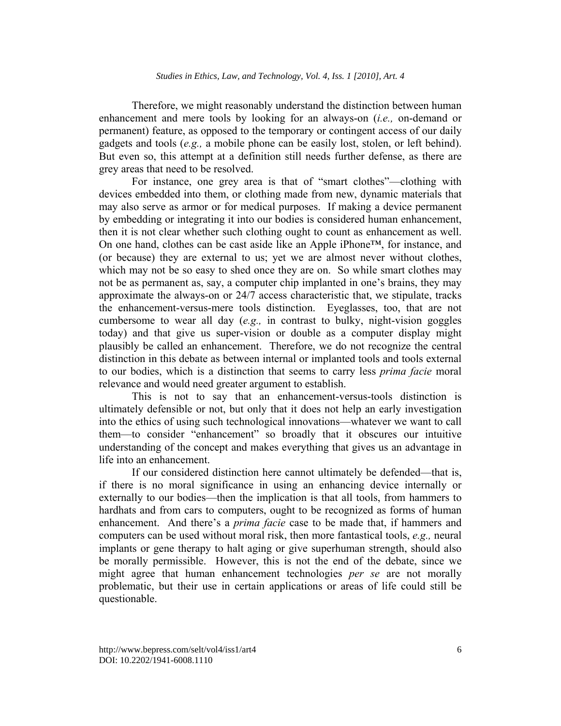Therefore, we might reasonably understand the distinction between human enhancement and mere tools by looking for an always-on (*i.e.,* on-demand or permanent) feature, as opposed to the temporary or contingent access of our daily gadgets and tools (*e.g.,* a mobile phone can be easily lost, stolen, or left behind). But even so, this attempt at a definition still needs further defense, as there are grey areas that need to be resolved.

For instance, one grey area is that of "smart clothes"—clothing with devices embedded into them, or clothing made from new, dynamic materials that may also serve as armor or for medical purposes. If making a device permanent by embedding or integrating it into our bodies is considered human enhancement, then it is not clear whether such clothing ought to count as enhancement as well. On one hand, clothes can be cast aside like an Apple iPhone™, for instance, and (or because) they are external to us; yet we are almost never without clothes, which may not be so easy to shed once they are on. So while smart clothes may not be as permanent as, say, a computer chip implanted in one's brains, they may approximate the always-on or 24/7 access characteristic that, we stipulate, tracks the enhancement-versus-mere tools distinction. Eyeglasses, too, that are not cumbersome to wear all day (*e.g.,* in contrast to bulky, night-vision goggles today) and that give us super-vision or double as a computer display might plausibly be called an enhancement. Therefore, we do not recognize the central distinction in this debate as between internal or implanted tools and tools external to our bodies, which is a distinction that seems to carry less *prima facie* moral relevance and would need greater argument to establish.

This is not to say that an enhancement-versus-tools distinction is ultimately defensible or not, but only that it does not help an early investigation into the ethics of using such technological innovations—whatever we want to call them—to consider "enhancement" so broadly that it obscures our intuitive understanding of the concept and makes everything that gives us an advantage in life into an enhancement.

If our considered distinction here cannot ultimately be defended—that is, if there is no moral significance in using an enhancing device internally or externally to our bodies—then the implication is that all tools, from hammers to hardhats and from cars to computers, ought to be recognized as forms of human enhancement. And there's a *prima facie* case to be made that, if hammers and computers can be used without moral risk, then more fantastical tools, *e.g.,* neural implants or gene therapy to halt aging or give superhuman strength, should also be morally permissible. However, this is not the end of the debate, since we might agree that human enhancement technologies *per se* are not morally problematic, but their use in certain applications or areas of life could still be questionable.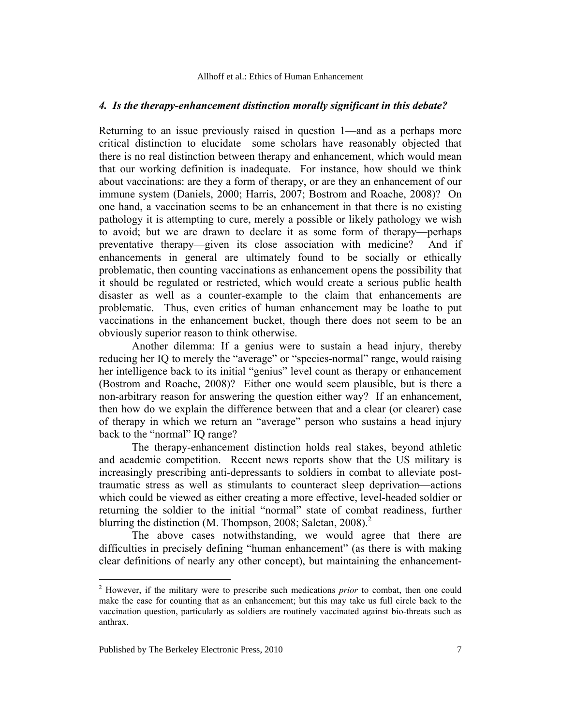Allhoff et al.: Ethics of Human Enhancement

#### *4. Is the therapy-enhancement distinction morally significant in this debate?*

Returning to an issue previously raised in question 1—and as a perhaps more critical distinction to elucidate—some scholars have reasonably objected that there is no real distinction between therapy and enhancement, which would mean that our working definition is inadequate. For instance, how should we think about vaccinations: are they a form of therapy, or are they an enhancement of our immune system (Daniels, 2000; Harris, 2007; Bostrom and Roache, 2008)? On one hand, a vaccination seems to be an enhancement in that there is no existing pathology it is attempting to cure, merely a possible or likely pathology we wish to avoid; but we are drawn to declare it as some form of therapy—perhaps preventative therapy—given its close association with medicine? And if enhancements in general are ultimately found to be socially or ethically problematic, then counting vaccinations as enhancement opens the possibility that it should be regulated or restricted, which would create a serious public health disaster as well as a counter-example to the claim that enhancements are problematic. Thus, even critics of human enhancement may be loathe to put vaccinations in the enhancement bucket, though there does not seem to be an obviously superior reason to think otherwise.

Another dilemma: If a genius were to sustain a head injury, thereby reducing her IQ to merely the "average" or "species-normal" range, would raising her intelligence back to its initial "genius" level count as therapy or enhancement (Bostrom and Roache, 2008)? Either one would seem plausible, but is there a non-arbitrary reason for answering the question either way? If an enhancement, then how do we explain the difference between that and a clear (or clearer) case of therapy in which we return an "average" person who sustains a head injury back to the "normal" IQ range?

The therapy-enhancement distinction holds real stakes, beyond athletic and academic competition. Recent news reports show that the US military is increasingly prescribing anti-depressants to soldiers in combat to alleviate posttraumatic stress as well as stimulants to counteract sleep deprivation—actions which could be viewed as either creating a more effective, level-headed soldier or returning the soldier to the initial "normal" state of combat readiness, further blurring the distinction (M. Thompson, 2008; Saletan, 2008).<sup>2</sup>

The above cases notwithstanding, we would agree that there are difficulties in precisely defining "human enhancement" (as there is with making clear definitions of nearly any other concept), but maintaining the enhancement-

 $\overline{a}$ 

<sup>2</sup> However, if the military were to prescribe such medications *prior* to combat, then one could make the case for counting that as an enhancement; but this may take us full circle back to the vaccination question, particularly as soldiers are routinely vaccinated against bio-threats such as anthrax.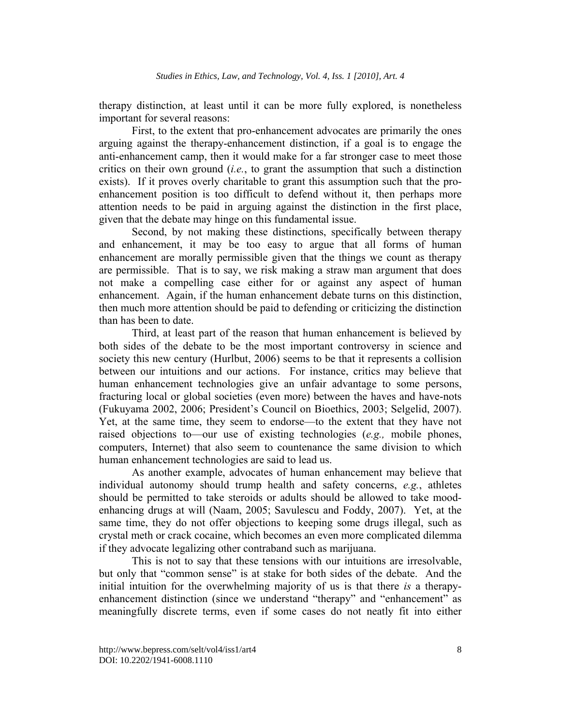therapy distinction, at least until it can be more fully explored, is nonetheless important for several reasons:

First, to the extent that pro-enhancement advocates are primarily the ones arguing against the therapy-enhancement distinction, if a goal is to engage the anti-enhancement camp, then it would make for a far stronger case to meet those critics on their own ground (*i.e.*, to grant the assumption that such a distinction exists). If it proves overly charitable to grant this assumption such that the proenhancement position is too difficult to defend without it, then perhaps more attention needs to be paid in arguing against the distinction in the first place, given that the debate may hinge on this fundamental issue.

Second, by not making these distinctions, specifically between therapy and enhancement, it may be too easy to argue that all forms of human enhancement are morally permissible given that the things we count as therapy are permissible. That is to say, we risk making a straw man argument that does not make a compelling case either for or against any aspect of human enhancement. Again, if the human enhancement debate turns on this distinction, then much more attention should be paid to defending or criticizing the distinction than has been to date.

Third, at least part of the reason that human enhancement is believed by both sides of the debate to be the most important controversy in science and society this new century (Hurlbut, 2006) seems to be that it represents a collision between our intuitions and our actions. For instance, critics may believe that human enhancement technologies give an unfair advantage to some persons, fracturing local or global societies (even more) between the haves and have-nots (Fukuyama 2002, 2006; President's Council on Bioethics, 2003; Selgelid, 2007). Yet, at the same time, they seem to endorse—to the extent that they have not raised objections to—our use of existing technologies (*e.g.,* mobile phones, computers, Internet) that also seem to countenance the same division to which human enhancement technologies are said to lead us.

As another example, advocates of human enhancement may believe that individual autonomy should trump health and safety concerns, *e.g.*, athletes should be permitted to take steroids or adults should be allowed to take moodenhancing drugs at will (Naam, 2005; Savulescu and Foddy, 2007). Yet, at the same time, they do not offer objections to keeping some drugs illegal, such as crystal meth or crack cocaine, which becomes an even more complicated dilemma if they advocate legalizing other contraband such as marijuana.

This is not to say that these tensions with our intuitions are irresolvable, but only that "common sense" is at stake for both sides of the debate. And the initial intuition for the overwhelming majority of us is that there *is* a therapyenhancement distinction (since we understand "therapy" and "enhancement" as meaningfully discrete terms, even if some cases do not neatly fit into either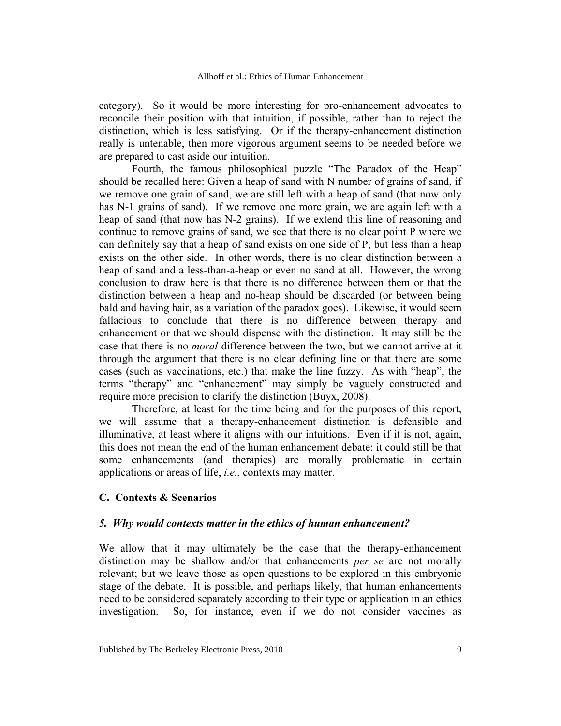category). So it would be more interesting for pro-enhancement advocates to reconcile their position with that intuition, if possible, rather than to reject the distinction, which is less satisfying. Or if the therapy-enhancement distinction really is untenable, then more vigorous argument seems to be needed before we are prepared to cast aside our intuition.

Fourth, the famous philosophical puzzle "The Paradox of the Heap" should be recalled here: Given a heap of sand with N number of grains of sand, if we remove one grain of sand, we are still left with a heap of sand (that now only has N-1 grains of sand). If we remove one more grain, we are again left with a heap of sand (that now has N-2 grains). If we extend this line of reasoning and continue to remove grains of sand, we see that there is no clear point P where we can definitely say that a heap of sand exists on one side of P, but less than a heap exists on the other side. In other words, there is no clear distinction between a heap of sand and a less-than-a-heap or even no sand at all. However, the wrong conclusion to draw here is that there is no difference between them or that the distinction between a heap and no-heap should be discarded (or between being bald and having hair, as a variation of the paradox goes). Likewise, it would seem fallacious to conclude that there is no difference between therapy and enhancement or that we should dispense with the distinction. It may still be the case that there is no *moral* difference between the two, but we cannot arrive at it through the argument that there is no clear defining line or that there are some cases (such as vaccinations, etc.) that make the line fuzzy. As with "heap", the terms "therapy" and "enhancement" may simply be vaguely constructed and require more precision to clarify the distinction (Buyx, 2008).

Therefore, at least for the time being and for the purposes of this report, we will assume that a therapy-enhancement distinction is defensible and illuminative, at least where it aligns with our intuitions. Even if it is not, again, this does not mean the end of the human enhancement debate: it could still be that some enhancements (and therapies) are morally problematic in certain applications or areas of life, *i.e.,* contexts may matter.

#### **C. Contexts & Scenarios**

#### *5. Why would contexts matter in the ethics of human enhancement?*

We allow that it may ultimately be the case that the therapy-enhancement distinction may be shallow and/or that enhancements *per se* are not morally relevant; but we leave those as open questions to be explored in this embryonic stage of the debate. It is possible, and perhaps likely, that human enhancements need to be considered separately according to their type or application in an ethics investigation. So, for instance, even if we do not consider vaccines as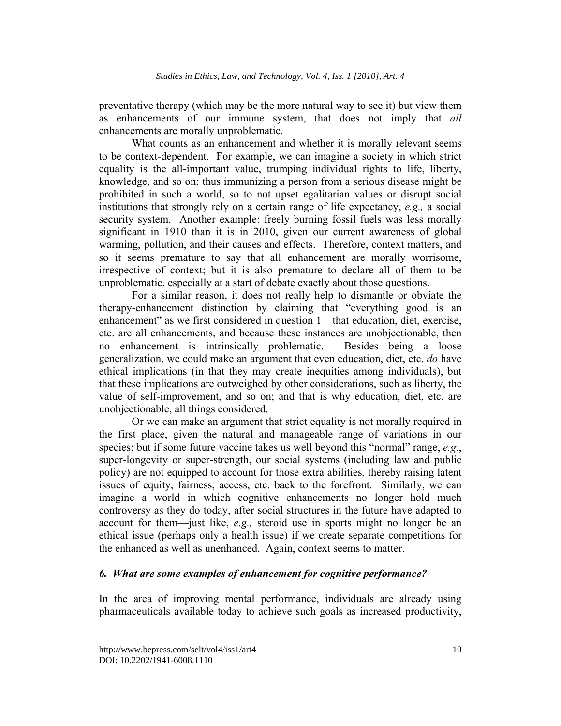preventative therapy (which may be the more natural way to see it) but view them as enhancements of our immune system, that does not imply that *all* enhancements are morally unproblematic.

What counts as an enhancement and whether it is morally relevant seems to be context-dependent. For example, we can imagine a society in which strict equality is the all-important value, trumping individual rights to life, liberty, knowledge, and so on; thus immunizing a person from a serious disease might be prohibited in such a world, so to not upset egalitarian values or disrupt social institutions that strongly rely on a certain range of life expectancy, *e.g.,* a social security system. Another example: freely burning fossil fuels was less morally significant in 1910 than it is in 2010, given our current awareness of global warming, pollution, and their causes and effects. Therefore, context matters, and so it seems premature to say that all enhancement are morally worrisome, irrespective of context; but it is also premature to declare all of them to be unproblematic, especially at a start of debate exactly about those questions.

For a similar reason, it does not really help to dismantle or obviate the therapy-enhancement distinction by claiming that "everything good is an enhancement" as we first considered in question 1—that education, diet, exercise, etc. are all enhancements, and because these instances are unobjectionable, then no enhancement is intrinsically problematic. Besides being a loose generalization, we could make an argument that even education, diet, etc. *do* have ethical implications (in that they may create inequities among individuals), but that these implications are outweighed by other considerations, such as liberty, the value of self-improvement, and so on; and that is why education, diet, etc. are unobjectionable, all things considered.

Or we can make an argument that strict equality is not morally required in the first place, given the natural and manageable range of variations in our species; but if some future vaccine takes us well beyond this "normal" range, *e.g.*, super-longevity or super-strength, our social systems (including law and public policy) are not equipped to account for those extra abilities, thereby raising latent issues of equity, fairness, access, etc. back to the forefront. Similarly, we can imagine a world in which cognitive enhancements no longer hold much controversy as they do today, after social structures in the future have adapted to account for them—just like, *e.g.,* steroid use in sports might no longer be an ethical issue (perhaps only a health issue) if we create separate competitions for the enhanced as well as unenhanced. Again, context seems to matter.

## *6. What are some examples of enhancement for cognitive performance?*

In the area of improving mental performance, individuals are already using pharmaceuticals available today to achieve such goals as increased productivity,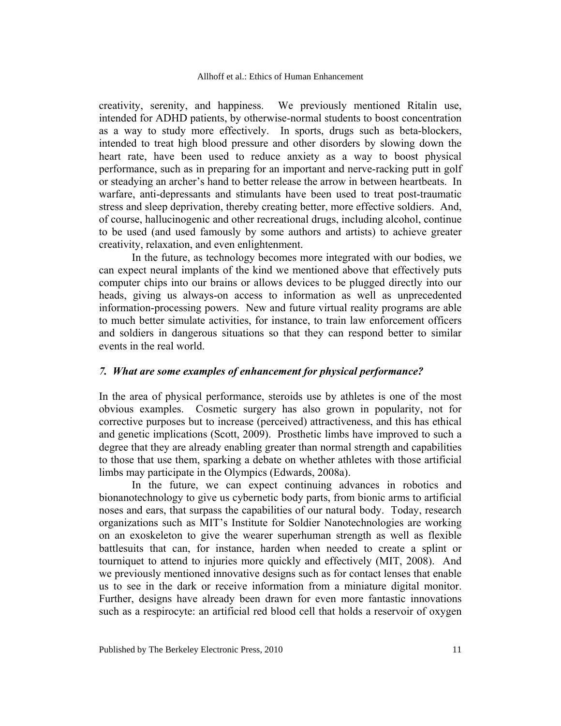#### Allhoff et al.: Ethics of Human Enhancement

creativity, serenity, and happiness. We previously mentioned Ritalin use, intended for ADHD patients, by otherwise-normal students to boost concentration as a way to study more effectively. In sports, drugs such as beta-blockers, intended to treat high blood pressure and other disorders by slowing down the heart rate, have been used to reduce anxiety as a way to boost physical performance, such as in preparing for an important and nerve-racking putt in golf or steadying an archer's hand to better release the arrow in between heartbeats. In warfare, anti-depressants and stimulants have been used to treat post-traumatic stress and sleep deprivation, thereby creating better, more effective soldiers. And, of course, hallucinogenic and other recreational drugs, including alcohol, continue to be used (and used famously by some authors and artists) to achieve greater creativity, relaxation, and even enlightenment.

In the future, as technology becomes more integrated with our bodies, we can expect neural implants of the kind we mentioned above that effectively puts computer chips into our brains or allows devices to be plugged directly into our heads, giving us always-on access to information as well as unprecedented information-processing powers. New and future virtual reality programs are able to much better simulate activities, for instance, to train law enforcement officers and soldiers in dangerous situations so that they can respond better to similar events in the real world.

#### *7. What are some examples of enhancement for physical performance?*

In the area of physical performance, steroids use by athletes is one of the most obvious examples. Cosmetic surgery has also grown in popularity, not for corrective purposes but to increase (perceived) attractiveness, and this has ethical and genetic implications (Scott, 2009). Prosthetic limbs have improved to such a degree that they are already enabling greater than normal strength and capabilities to those that use them, sparking a debate on whether athletes with those artificial limbs may participate in the Olympics (Edwards, 2008a).

In the future, we can expect continuing advances in robotics and bionanotechnology to give us cybernetic body parts, from bionic arms to artificial noses and ears, that surpass the capabilities of our natural body. Today, research organizations such as MIT's Institute for Soldier Nanotechnologies are working on an exoskeleton to give the wearer superhuman strength as well as flexible battlesuits that can, for instance, harden when needed to create a splint or tourniquet to attend to injuries more quickly and effectively (MIT, 2008). And we previously mentioned innovative designs such as for contact lenses that enable us to see in the dark or receive information from a miniature digital monitor. Further, designs have already been drawn for even more fantastic innovations such as a respirocyte: an artificial red blood cell that holds a reservoir of oxygen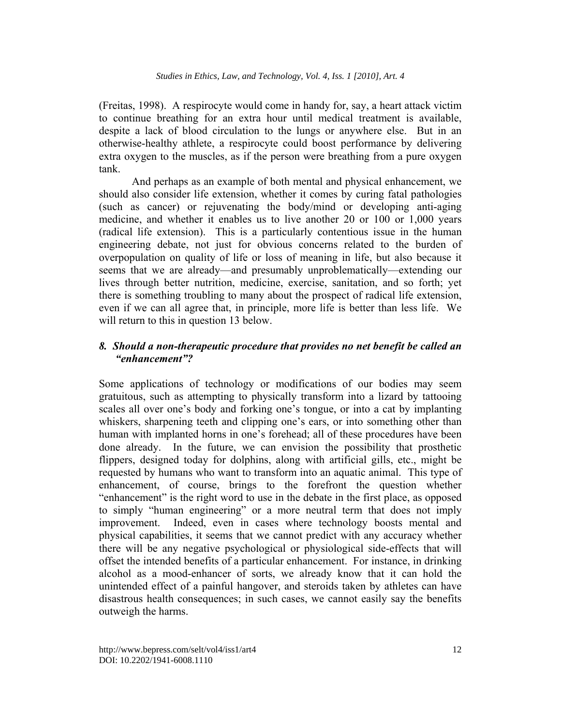(Freitas, 1998). A respirocyte would come in handy for, say, a heart attack victim to continue breathing for an extra hour until medical treatment is available, despite a lack of blood circulation to the lungs or anywhere else. But in an otherwise-healthy athlete, a respirocyte could boost performance by delivering extra oxygen to the muscles, as if the person were breathing from a pure oxygen tank.

And perhaps as an example of both mental and physical enhancement, we should also consider life extension, whether it comes by curing fatal pathologies (such as cancer) or rejuvenating the body/mind or developing anti-aging medicine, and whether it enables us to live another 20 or 100 or 1,000 years (radical life extension). This is a particularly contentious issue in the human engineering debate, not just for obvious concerns related to the burden of overpopulation on quality of life or loss of meaning in life, but also because it seems that we are already—and presumably unproblematically—extending our lives through better nutrition, medicine, exercise, sanitation, and so forth; yet there is something troubling to many about the prospect of radical life extension, even if we can all agree that, in principle, more life is better than less life. We will return to this in question 13 below.

## *8. Should a non-therapeutic procedure that provides no net benefit be called an "enhancement"?*

Some applications of technology or modifications of our bodies may seem gratuitous, such as attempting to physically transform into a lizard by tattooing scales all over one's body and forking one's tongue, or into a cat by implanting whiskers, sharpening teeth and clipping one's ears, or into something other than human with implanted horns in one's forehead; all of these procedures have been done already. In the future, we can envision the possibility that prosthetic flippers, designed today for dolphins, along with artificial gills, etc., might be requested by humans who want to transform into an aquatic animal. This type of enhancement, of course, brings to the forefront the question whether "enhancement" is the right word to use in the debate in the first place, as opposed to simply "human engineering" or a more neutral term that does not imply improvement. Indeed, even in cases where technology boosts mental and physical capabilities, it seems that we cannot predict with any accuracy whether there will be any negative psychological or physiological side-effects that will offset the intended benefits of a particular enhancement. For instance, in drinking alcohol as a mood-enhancer of sorts, we already know that it can hold the unintended effect of a painful hangover, and steroids taken by athletes can have disastrous health consequences; in such cases, we cannot easily say the benefits outweigh the harms.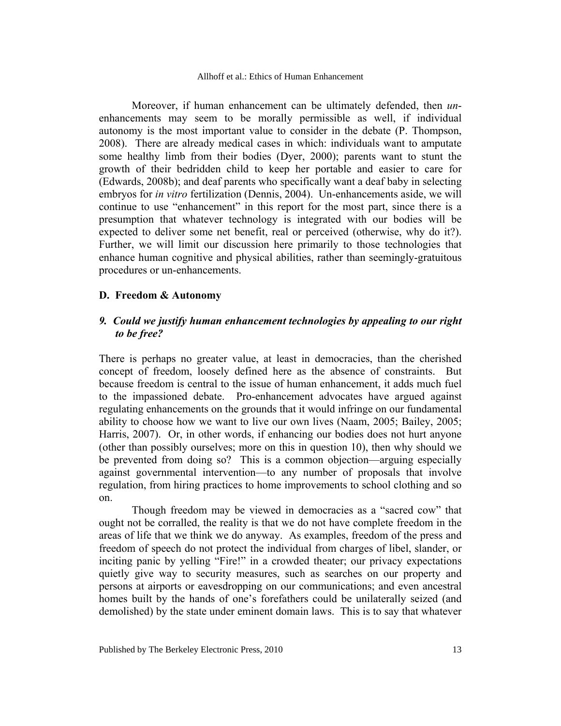Moreover, if human enhancement can be ultimately defended, then *un*enhancements may seem to be morally permissible as well, if individual autonomy is the most important value to consider in the debate (P. Thompson, 2008). There are already medical cases in which: individuals want to amputate some healthy limb from their bodies (Dyer, 2000); parents want to stunt the growth of their bedridden child to keep her portable and easier to care for (Edwards, 2008b); and deaf parents who specifically want a deaf baby in selecting embryos for *in vitro* fertilization (Dennis, 2004). Un-enhancements aside, we will continue to use "enhancement" in this report for the most part, since there is a presumption that whatever technology is integrated with our bodies will be expected to deliver some net benefit, real or perceived (otherwise, why do it?). Further, we will limit our discussion here primarily to those technologies that enhance human cognitive and physical abilities, rather than seemingly-gratuitous procedures or un-enhancements.

#### **D. Freedom & Autonomy**

## *9. Could we justify human enhancement technologies by appealing to our right to be free?*

There is perhaps no greater value, at least in democracies, than the cherished concept of freedom, loosely defined here as the absence of constraints. But because freedom is central to the issue of human enhancement, it adds much fuel to the impassioned debate. Pro-enhancement advocates have argued against regulating enhancements on the grounds that it would infringe on our fundamental ability to choose how we want to live our own lives (Naam, 2005; Bailey, 2005; Harris, 2007). Or, in other words, if enhancing our bodies does not hurt anyone (other than possibly ourselves; more on this in question 10), then why should we be prevented from doing so? This is a common objection—arguing especially against governmental intervention—to any number of proposals that involve regulation, from hiring practices to home improvements to school clothing and so on.

Though freedom may be viewed in democracies as a "sacred cow" that ought not be corralled, the reality is that we do not have complete freedom in the areas of life that we think we do anyway. As examples, freedom of the press and freedom of speech do not protect the individual from charges of libel, slander, or inciting panic by yelling "Fire!" in a crowded theater; our privacy expectations quietly give way to security measures, such as searches on our property and persons at airports or eavesdropping on our communications; and even ancestral homes built by the hands of one's forefathers could be unilaterally seized (and demolished) by the state under eminent domain laws. This is to say that whatever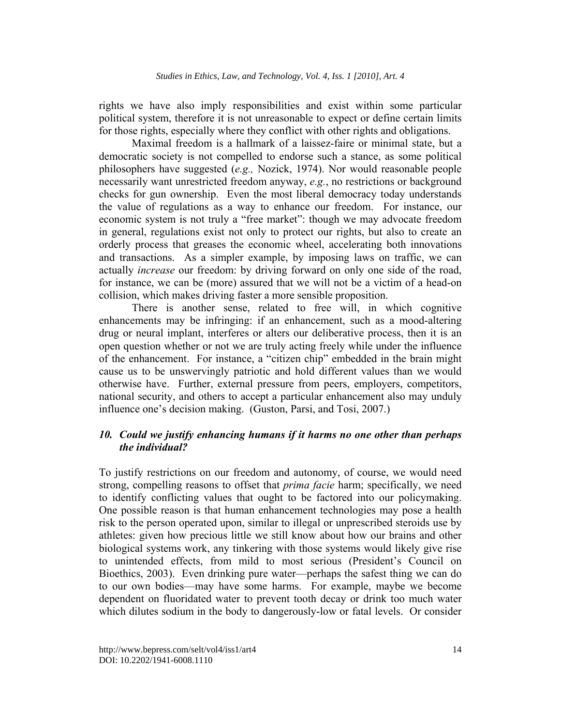rights we have also imply responsibilities and exist within some particular political system, therefore it is not unreasonable to expect or define certain limits for those rights, especially where they conflict with other rights and obligations.

Maximal freedom is a hallmark of a laissez-faire or minimal state, but a democratic society is not compelled to endorse such a stance, as some political philosophers have suggested (*e.g.,* Nozick, 1974). Nor would reasonable people necessarily want unrestricted freedom anyway, *e.g.*, no restrictions or background checks for gun ownership. Even the most liberal democracy today understands the value of regulations as a way to enhance our freedom. For instance, our economic system is not truly a "free market": though we may advocate freedom in general, regulations exist not only to protect our rights, but also to create an orderly process that greases the economic wheel, accelerating both innovations and transactions. As a simpler example, by imposing laws on traffic, we can actually *increase* our freedom: by driving forward on only one side of the road, for instance, we can be (more) assured that we will not be a victim of a head-on collision, which makes driving faster a more sensible proposition.

There is another sense, related to free will, in which cognitive enhancements may be infringing: if an enhancement, such as a mood-altering drug or neural implant, interferes or alters our deliberative process, then it is an open question whether or not we are truly acting freely while under the influence of the enhancement. For instance, a "citizen chip" embedded in the brain might cause us to be unswervingly patriotic and hold different values than we would otherwise have. Further, external pressure from peers, employers, competitors, national security, and others to accept a particular enhancement also may unduly influence one's decision making. (Guston, Parsi, and Tosi, 2007.)

## *10. Could we justify enhancing humans if it harms no one other than perhaps the individual?*

To justify restrictions on our freedom and autonomy, of course, we would need strong, compelling reasons to offset that *prima facie* harm; specifically, we need to identify conflicting values that ought to be factored into our policymaking. One possible reason is that human enhancement technologies may pose a health risk to the person operated upon, similar to illegal or unprescribed steroids use by athletes: given how precious little we still know about how our brains and other biological systems work, any tinkering with those systems would likely give rise to unintended effects, from mild to most serious (President's Council on Bioethics, 2003). Even drinking pure water—perhaps the safest thing we can do to our own bodies—may have some harms. For example, maybe we become dependent on fluoridated water to prevent tooth decay or drink too much water which dilutes sodium in the body to dangerously-low or fatal levels. Or consider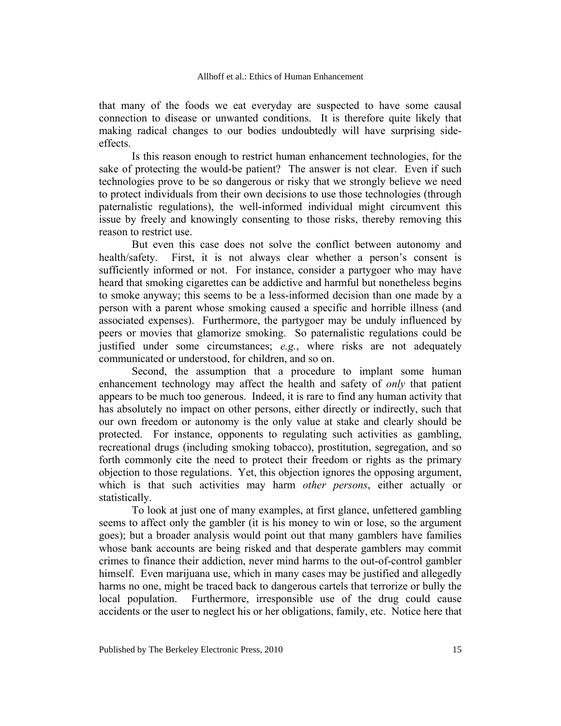that many of the foods we eat everyday are suspected to have some causal connection to disease or unwanted conditions. It is therefore quite likely that making radical changes to our bodies undoubtedly will have surprising sideeffects.

Is this reason enough to restrict human enhancement technologies, for the sake of protecting the would-be patient? The answer is not clear. Even if such technologies prove to be so dangerous or risky that we strongly believe we need to protect individuals from their own decisions to use those technologies (through paternalistic regulations), the well-informed individual might circumvent this issue by freely and knowingly consenting to those risks, thereby removing this reason to restrict use.

But even this case does not solve the conflict between autonomy and health/safety. First, it is not always clear whether a person's consent is sufficiently informed or not. For instance, consider a partygoer who may have heard that smoking cigarettes can be addictive and harmful but nonetheless begins to smoke anyway; this seems to be a less-informed decision than one made by a person with a parent whose smoking caused a specific and horrible illness (and associated expenses). Furthermore, the partygoer may be unduly influenced by peers or movies that glamorize smoking. So paternalistic regulations could be justified under some circumstances; *e.g.*, where risks are not adequately communicated or understood, for children, and so on.

Second, the assumption that a procedure to implant some human enhancement technology may affect the health and safety of *only* that patient appears to be much too generous. Indeed, it is rare to find any human activity that has absolutely no impact on other persons, either directly or indirectly, such that our own freedom or autonomy is the only value at stake and clearly should be protected. For instance, opponents to regulating such activities as gambling, recreational drugs (including smoking tobacco), prostitution, segregation, and so forth commonly cite the need to protect their freedom or rights as the primary objection to those regulations. Yet, this objection ignores the opposing argument, which is that such activities may harm *other persons*, either actually or statistically.

To look at just one of many examples, at first glance, unfettered gambling seems to affect only the gambler (it is his money to win or lose, so the argument goes); but a broader analysis would point out that many gamblers have families whose bank accounts are being risked and that desperate gamblers may commit crimes to finance their addiction, never mind harms to the out-of-control gambler himself. Even marijuana use, which in many cases may be justified and allegedly harms no one, might be traced back to dangerous cartels that terrorize or bully the local population. Furthermore, irresponsible use of the drug could cause accidents or the user to neglect his or her obligations, family, etc. Notice here that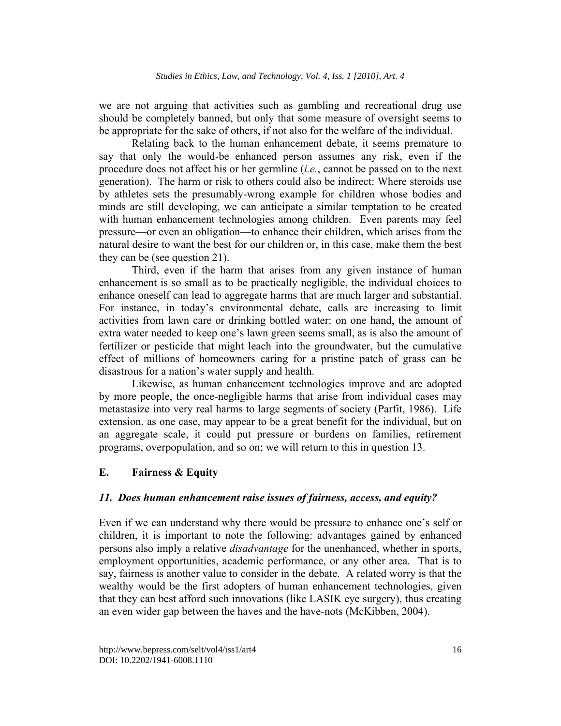we are not arguing that activities such as gambling and recreational drug use should be completely banned, but only that some measure of oversight seems to be appropriate for the sake of others, if not also for the welfare of the individual.

Relating back to the human enhancement debate, it seems premature to say that only the would-be enhanced person assumes any risk, even if the procedure does not affect his or her germline (*i.e.*, cannot be passed on to the next generation). The harm or risk to others could also be indirect: Where steroids use by athletes sets the presumably-wrong example for children whose bodies and minds are still developing, we can anticipate a similar temptation to be created with human enhancement technologies among children. Even parents may feel pressure—or even an obligation—to enhance their children, which arises from the natural desire to want the best for our children or, in this case, make them the best they can be (see question 21).

Third, even if the harm that arises from any given instance of human enhancement is so small as to be practically negligible, the individual choices to enhance oneself can lead to aggregate harms that are much larger and substantial. For instance, in today's environmental debate, calls are increasing to limit activities from lawn care or drinking bottled water: on one hand, the amount of extra water needed to keep one's lawn green seems small, as is also the amount of fertilizer or pesticide that might leach into the groundwater, but the cumulative effect of millions of homeowners caring for a pristine patch of grass can be disastrous for a nation's water supply and health.

Likewise, as human enhancement technologies improve and are adopted by more people, the once-negligible harms that arise from individual cases may metastasize into very real harms to large segments of society (Parfit, 1986). Life extension, as one case, may appear to be a great benefit for the individual, but on an aggregate scale, it could put pressure or burdens on families, retirement programs, overpopulation, and so on; we will return to this in question 13.

## **E. Fairness & Equity**

## *11. Does human enhancement raise issues of fairness, access, and equity?*

Even if we can understand why there would be pressure to enhance one's self or children, it is important to note the following: advantages gained by enhanced persons also imply a relative *disadvantage* for the unenhanced, whether in sports, employment opportunities, academic performance, or any other area. That is to say, fairness is another value to consider in the debate. A related worry is that the wealthy would be the first adopters of human enhancement technologies, given that they can best afford such innovations (like LASIK eye surgery), thus creating an even wider gap between the haves and the have-nots (McKibben, 2004).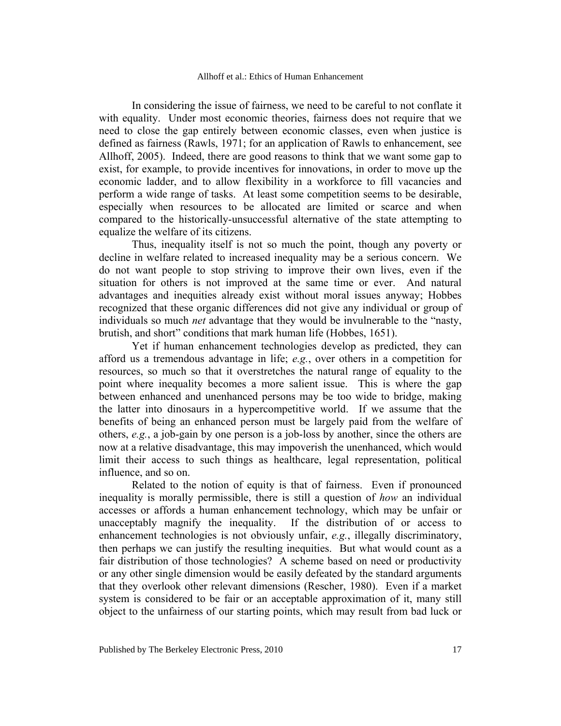In considering the issue of fairness, we need to be careful to not conflate it with equality. Under most economic theories, fairness does not require that we need to close the gap entirely between economic classes, even when justice is defined as fairness (Rawls, 1971; for an application of Rawls to enhancement, see Allhoff, 2005). Indeed, there are good reasons to think that we want some gap to exist, for example, to provide incentives for innovations, in order to move up the economic ladder, and to allow flexibility in a workforce to fill vacancies and perform a wide range of tasks. At least some competition seems to be desirable, especially when resources to be allocated are limited or scarce and when compared to the historically-unsuccessful alternative of the state attempting to equalize the welfare of its citizens.

Thus, inequality itself is not so much the point, though any poverty or decline in welfare related to increased inequality may be a serious concern. We do not want people to stop striving to improve their own lives, even if the situation for others is not improved at the same time or ever. And natural advantages and inequities already exist without moral issues anyway; Hobbes recognized that these organic differences did not give any individual or group of individuals so much *net* advantage that they would be invulnerable to the "nasty, brutish, and short" conditions that mark human life (Hobbes, 1651).

Yet if human enhancement technologies develop as predicted, they can afford us a tremendous advantage in life; *e.g.*, over others in a competition for resources, so much so that it overstretches the natural range of equality to the point where inequality becomes a more salient issue. This is where the gap between enhanced and unenhanced persons may be too wide to bridge, making the latter into dinosaurs in a hypercompetitive world. If we assume that the benefits of being an enhanced person must be largely paid from the welfare of others, *e.g.*, a job-gain by one person is a job-loss by another, since the others are now at a relative disadvantage, this may impoverish the unenhanced, which would limit their access to such things as healthcare, legal representation, political influence, and so on.

Related to the notion of equity is that of fairness. Even if pronounced inequality is morally permissible, there is still a question of *how* an individual accesses or affords a human enhancement technology, which may be unfair or unacceptably magnify the inequality. If the distribution of or access to enhancement technologies is not obviously unfair, *e.g.*, illegally discriminatory, then perhaps we can justify the resulting inequities. But what would count as a fair distribution of those technologies? A scheme based on need or productivity or any other single dimension would be easily defeated by the standard arguments that they overlook other relevant dimensions (Rescher, 1980). Even if a market system is considered to be fair or an acceptable approximation of it, many still object to the unfairness of our starting points, which may result from bad luck or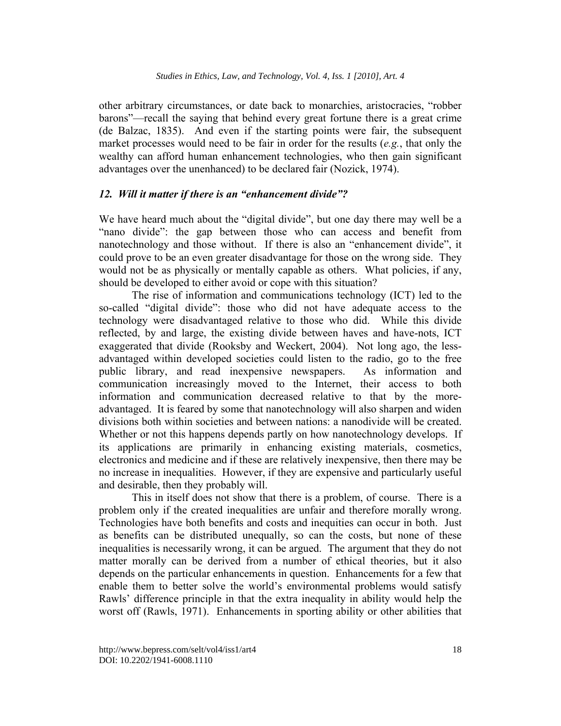other arbitrary circumstances, or date back to monarchies, aristocracies, "robber barons"—recall the saying that behind every great fortune there is a great crime (de Balzac, 1835). And even if the starting points were fair, the subsequent market processes would need to be fair in order for the results (*e.g.*, that only the wealthy can afford human enhancement technologies, who then gain significant advantages over the unenhanced) to be declared fair (Nozick, 1974).

### *12. Will it matter if there is an "enhancement divide"?*

We have heard much about the "digital divide", but one day there may well be a "nano divide": the gap between those who can access and benefit from nanotechnology and those without. If there is also an "enhancement divide", it could prove to be an even greater disadvantage for those on the wrong side. They would not be as physically or mentally capable as others. What policies, if any, should be developed to either avoid or cope with this situation?

The rise of information and communications technology (ICT) led to the so-called "digital divide": those who did not have adequate access to the technology were disadvantaged relative to those who did. While this divide reflected, by and large, the existing divide between haves and have-nots, ICT exaggerated that divide (Rooksby and Weckert, 2004). Not long ago, the lessadvantaged within developed societies could listen to the radio, go to the free public library, and read inexpensive newspapers. As information and communication increasingly moved to the Internet, their access to both information and communication decreased relative to that by the moreadvantaged. It is feared by some that nanotechnology will also sharpen and widen divisions both within societies and between nations: a nanodivide will be created. Whether or not this happens depends partly on how nanotechnology develops. If its applications are primarily in enhancing existing materials, cosmetics, electronics and medicine and if these are relatively inexpensive, then there may be no increase in inequalities. However, if they are expensive and particularly useful and desirable, then they probably will.

This in itself does not show that there is a problem, of course. There is a problem only if the created inequalities are unfair and therefore morally wrong. Technologies have both benefits and costs and inequities can occur in both. Just as benefits can be distributed unequally, so can the costs, but none of these inequalities is necessarily wrong, it can be argued. The argument that they do not matter morally can be derived from a number of ethical theories, but it also depends on the particular enhancements in question. Enhancements for a few that enable them to better solve the world's environmental problems would satisfy Rawls' difference principle in that the extra inequality in ability would help the worst off (Rawls, 1971). Enhancements in sporting ability or other abilities that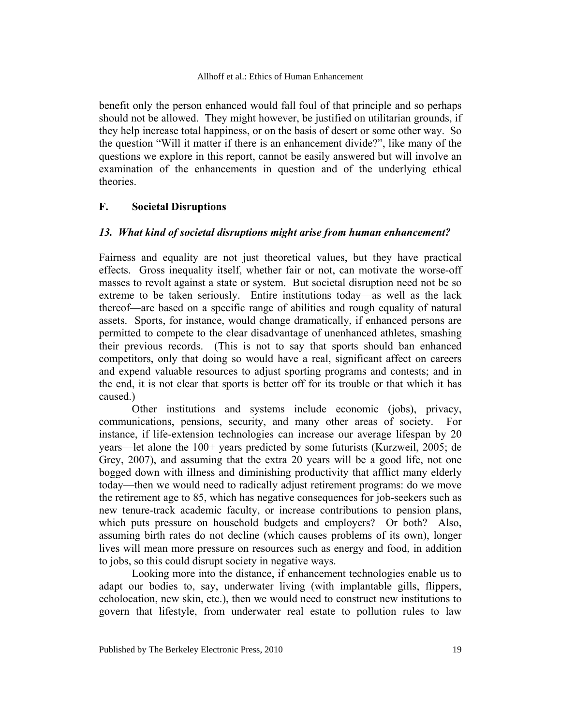benefit only the person enhanced would fall foul of that principle and so perhaps should not be allowed. They might however, be justified on utilitarian grounds, if they help increase total happiness, or on the basis of desert or some other way.So the question "Will it matter if there is an enhancement divide?", like many of the questions we explore in this report, cannot be easily answered but will involve an examination of the enhancements in question and of the underlying ethical theories.

## **F. Societal Disruptions**

## *13. What kind of societal disruptions might arise from human enhancement?*

Fairness and equality are not just theoretical values, but they have practical effects. Gross inequality itself, whether fair or not, can motivate the worse-off masses to revolt against a state or system. But societal disruption need not be so extreme to be taken seriously. Entire institutions today—as well as the lack thereof—are based on a specific range of abilities and rough equality of natural assets. Sports, for instance, would change dramatically, if enhanced persons are permitted to compete to the clear disadvantage of unenhanced athletes, smashing their previous records. (This is not to say that sports should ban enhanced competitors, only that doing so would have a real, significant affect on careers and expend valuable resources to adjust sporting programs and contests; and in the end, it is not clear that sports is better off for its trouble or that which it has caused.)

Other institutions and systems include economic (jobs), privacy, communications, pensions, security, and many other areas of society. For instance, if life-extension technologies can increase our average lifespan by 20 years—let alone the 100+ years predicted by some futurists (Kurzweil, 2005; de Grey, 2007), and assuming that the extra 20 years will be a good life, not one bogged down with illness and diminishing productivity that afflict many elderly today—then we would need to radically adjust retirement programs: do we move the retirement age to 85, which has negative consequences for job-seekers such as new tenure-track academic faculty, or increase contributions to pension plans, which puts pressure on household budgets and employers? Or both? Also, assuming birth rates do not decline (which causes problems of its own), longer lives will mean more pressure on resources such as energy and food, in addition to jobs, so this could disrupt society in negative ways.

Looking more into the distance, if enhancement technologies enable us to adapt our bodies to, say, underwater living (with implantable gills, flippers, echolocation, new skin, etc.), then we would need to construct new institutions to govern that lifestyle, from underwater real estate to pollution rules to law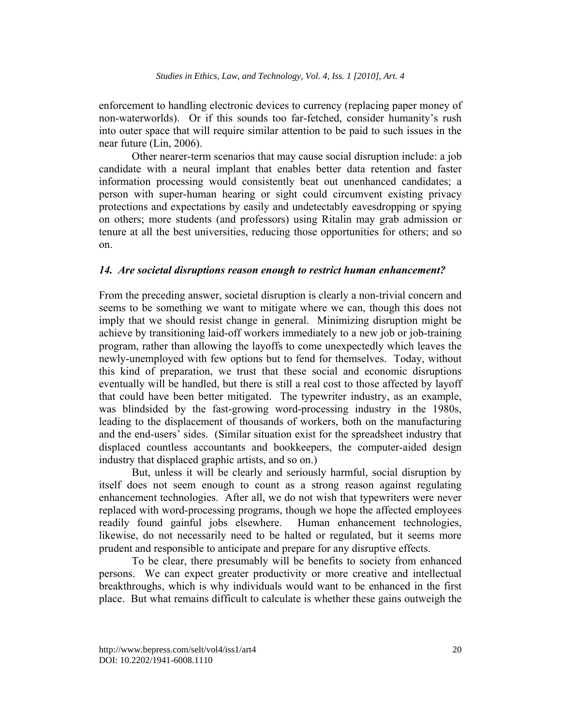enforcement to handling electronic devices to currency (replacing paper money of non-waterworlds). Or if this sounds too far-fetched, consider humanity's rush into outer space that will require similar attention to be paid to such issues in the near future (Lin, 2006).

Other nearer-term scenarios that may cause social disruption include: a job candidate with a neural implant that enables better data retention and faster information processing would consistently beat out unenhanced candidates; a person with super-human hearing or sight could circumvent existing privacy protections and expectations by easily and undetectably eavesdropping or spying on others; more students (and professors) using Ritalin may grab admission or tenure at all the best universities, reducing those opportunities for others; and so on.

## *14. Are societal disruptions reason enough to restrict human enhancement?*

From the preceding answer, societal disruption is clearly a non-trivial concern and seems to be something we want to mitigate where we can, though this does not imply that we should resist change in general. Minimizing disruption might be achieve by transitioning laid-off workers immediately to a new job or job-training program, rather than allowing the layoffs to come unexpectedly which leaves the newly-unemployed with few options but to fend for themselves. Today, without this kind of preparation, we trust that these social and economic disruptions eventually will be handled, but there is still a real cost to those affected by layoff that could have been better mitigated. The typewriter industry, as an example, was blindsided by the fast-growing word-processing industry in the 1980s, leading to the displacement of thousands of workers, both on the manufacturing and the end-users' sides. (Similar situation exist for the spreadsheet industry that displaced countless accountants and bookkeepers, the computer-aided design industry that displaced graphic artists, and so on.)

But, unless it will be clearly and seriously harmful, social disruption by itself does not seem enough to count as a strong reason against regulating enhancement technologies. After all, we do not wish that typewriters were never replaced with word-processing programs, though we hope the affected employees readily found gainful jobs elsewhere. Human enhancement technologies, likewise, do not necessarily need to be halted or regulated, but it seems more prudent and responsible to anticipate and prepare for any disruptive effects.

To be clear, there presumably will be benefits to society from enhanced persons. We can expect greater productivity or more creative and intellectual breakthroughs, which is why individuals would want to be enhanced in the first place. But what remains difficult to calculate is whether these gains outweigh the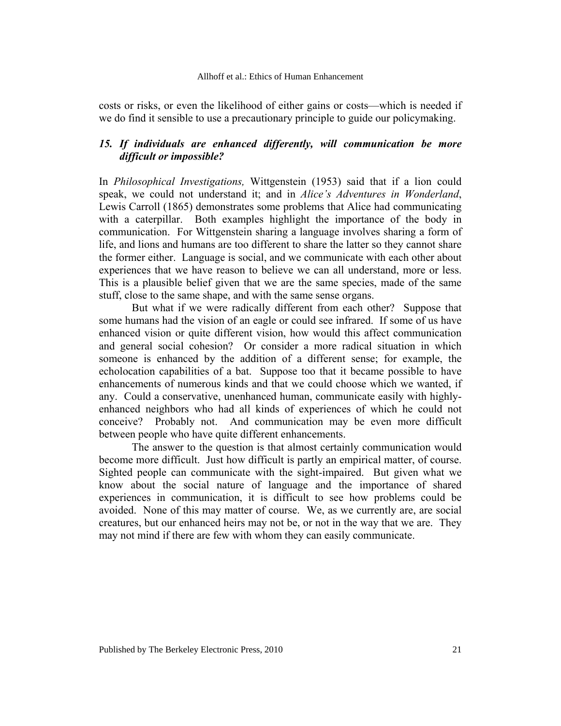costs or risks, or even the likelihood of either gains or costs—which is needed if we do find it sensible to use a precautionary principle to guide our policymaking.

## *15. If individuals are enhanced differently, will communication be more difficult or impossible?*

In *Philosophical Investigations,* Wittgenstein (1953) said that if a lion could speak, we could not understand it; and in *Alice's Adventures in Wonderland*, Lewis Carroll (1865) demonstrates some problems that Alice had communicating with a caterpillar. Both examples highlight the importance of the body in communication. For Wittgenstein sharing a language involves sharing a form of life, and lions and humans are too different to share the latter so they cannot share the former either. Language is social, and we communicate with each other about experiences that we have reason to believe we can all understand, more or less. This is a plausible belief given that we are the same species, made of the same stuff, close to the same shape, and with the same sense organs.

But what if we were radically different from each other? Suppose that some humans had the vision of an eagle or could see infrared. If some of us have enhanced vision or quite different vision, how would this affect communication and general social cohesion? Or consider a more radical situation in which someone is enhanced by the addition of a different sense; for example, the echolocation capabilities of a bat. Suppose too that it became possible to have enhancements of numerous kinds and that we could choose which we wanted, if any. Could a conservative, unenhanced human, communicate easily with highlyenhanced neighbors who had all kinds of experiences of which he could not conceive? Probably not. And communication may be even more difficult between people who have quite different enhancements.

The answer to the question is that almost certainly communication would become more difficult. Just how difficult is partly an empirical matter, of course. Sighted people can communicate with the sight-impaired. But given what we know about the social nature of language and the importance of shared experiences in communication, it is difficult to see how problems could be avoided. None of this may matter of course. We, as we currently are, are social creatures, but our enhanced heirs may not be, or not in the way that we are. They may not mind if there are few with whom they can easily communicate.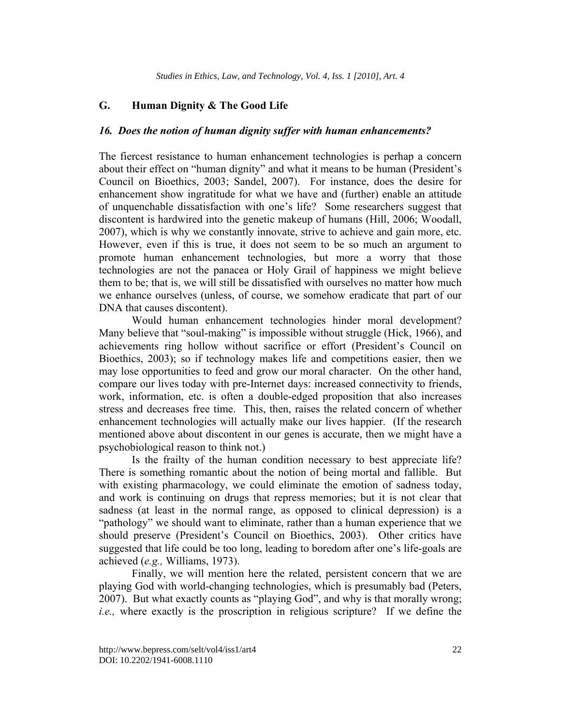## **G. Human Dignity & The Good Life**

#### *16. Does the notion of human dignity suffer with human enhancements?*

The fiercest resistance to human enhancement technologies is perhap a concern about their effect on "human dignity" and what it means to be human (President's Council on Bioethics, 2003; Sandel, 2007). For instance, does the desire for enhancement show ingratitude for what we have and (further) enable an attitude of unquenchable dissatisfaction with one's life? Some researchers suggest that discontent is hardwired into the genetic makeup of humans (Hill, 2006; Woodall, 2007), which is why we constantly innovate, strive to achieve and gain more, etc. However, even if this is true, it does not seem to be so much an argument to promote human enhancement technologies, but more a worry that those technologies are not the panacea or Holy Grail of happiness we might believe them to be; that is, we will still be dissatisfied with ourselves no matter how much we enhance ourselves (unless, of course, we somehow eradicate that part of our DNA that causes discontent).

Would human enhancement technologies hinder moral development? Many believe that "soul-making" is impossible without struggle (Hick, 1966), and achievements ring hollow without sacrifice or effort (President's Council on Bioethics, 2003); so if technology makes life and competitions easier, then we may lose opportunities to feed and grow our moral character. On the other hand, compare our lives today with pre-Internet days: increased connectivity to friends, work, information, etc. is often a double-edged proposition that also increases stress and decreases free time. This, then, raises the related concern of whether enhancement technologies will actually make our lives happier. (If the research mentioned above about discontent in our genes is accurate, then we might have a psychobiological reason to think not.)

Is the frailty of the human condition necessary to best appreciate life? There is something romantic about the notion of being mortal and fallible. But with existing pharmacology, we could eliminate the emotion of sadness today, and work is continuing on drugs that repress memories; but it is not clear that sadness (at least in the normal range, as opposed to clinical depression) is a "pathology" we should want to eliminate, rather than a human experience that we should preserve (President's Council on Bioethics, 2003). Other critics have suggested that life could be too long, leading to boredom after one's life-goals are achieved (*e.g.,* Williams, 1973).

Finally, we will mention here the related, persistent concern that we are playing God with world-changing technologies, which is presumably bad (Peters, 2007). But what exactly counts as "playing God", and why is that morally wrong; *i.e.,* where exactly is the proscription in religious scripture? If we define the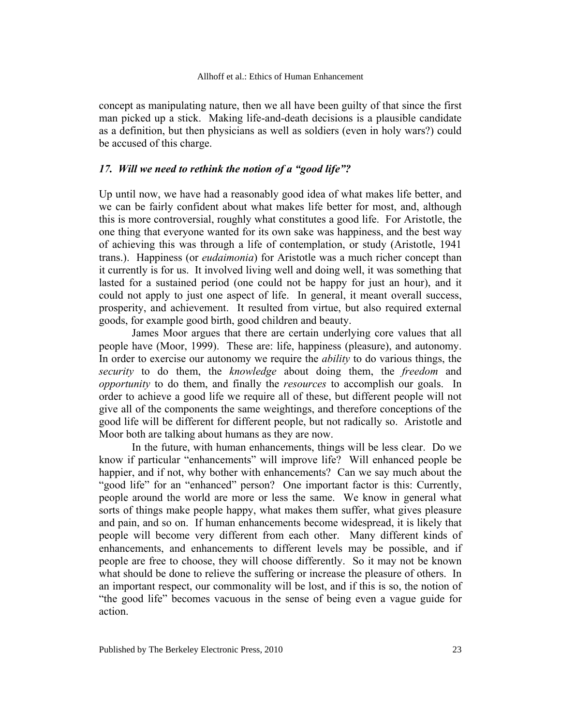concept as manipulating nature, then we all have been guilty of that since the first man picked up a stick. Making life-and-death decisions is a plausible candidate as a definition, but then physicians as well as soldiers (even in holy wars?) could be accused of this charge.

## *17. Will we need to rethink the notion of a "good life"?*

Up until now, we have had a reasonably good idea of what makes life better, and we can be fairly confident about what makes life better for most, and, although this is more controversial, roughly what constitutes a good life. For Aristotle, the one thing that everyone wanted for its own sake was happiness, and the best way of achieving this was through a life of contemplation, or study (Aristotle, 1941 trans.). Happiness (or *eudaimonia*) for Aristotle was a much richer concept than it currently is for us. It involved living well and doing well, it was something that lasted for a sustained period (one could not be happy for just an hour), and it could not apply to just one aspect of life. In general, it meant overall success, prosperity, and achievement. It resulted from virtue, but also required external goods, for example good birth, good children and beauty.

James Moor argues that there are certain underlying core values that all people have (Moor, 1999). These are: life, happiness (pleasure), and autonomy. In order to exercise our autonomy we require the *ability* to do various things, the *security* to do them, the *knowledge* about doing them, the *freedom* and *opportunity* to do them, and finally the *resources* to accomplish our goals. In order to achieve a good life we require all of these, but different people will not give all of the components the same weightings, and therefore conceptions of the good life will be different for different people, but not radically so. Aristotle and Moor both are talking about humans as they are now.

In the future, with human enhancements, things will be less clear. Do we know if particular "enhancements" will improve life? Will enhanced people be happier, and if not, why bother with enhancements? Can we say much about the "good life" for an "enhanced" person? One important factor is this: Currently, people around the world are more or less the same. We know in general what sorts of things make people happy, what makes them suffer, what gives pleasure and pain, and so on. If human enhancements become widespread, it is likely that people will become very different from each other. Many different kinds of enhancements, and enhancements to different levels may be possible, and if people are free to choose, they will choose differently. So it may not be known what should be done to relieve the suffering or increase the pleasure of others. In an important respect, our commonality will be lost, and if this is so, the notion of "the good life" becomes vacuous in the sense of being even a vague guide for action.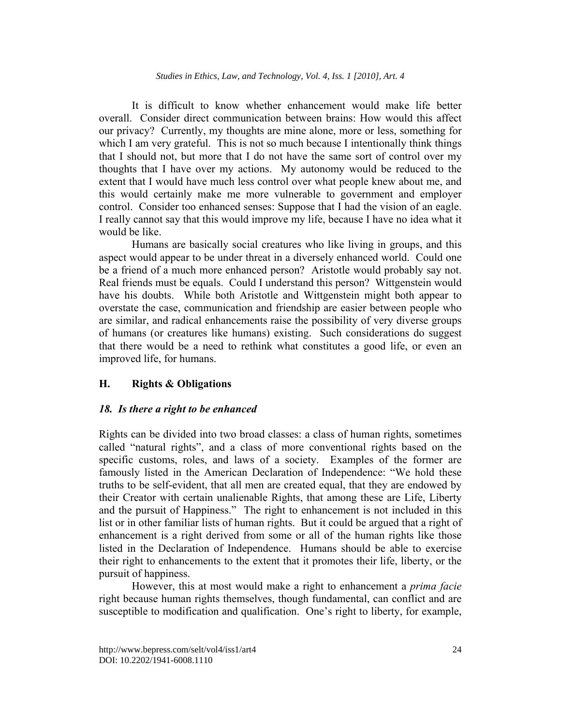It is difficult to know whether enhancement would make life better overall. Consider direct communication between brains: How would this affect our privacy? Currently, my thoughts are mine alone, more or less, something for which I am very grateful. This is not so much because I intentionally think things that I should not, but more that I do not have the same sort of control over my thoughts that I have over my actions. My autonomy would be reduced to the extent that I would have much less control over what people knew about me, and this would certainly make me more vulnerable to government and employer control. Consider too enhanced senses: Suppose that I had the vision of an eagle. I really cannot say that this would improve my life, because I have no idea what it would be like.

Humans are basically social creatures who like living in groups, and this aspect would appear to be under threat in a diversely enhanced world. Could one be a friend of a much more enhanced person? Aristotle would probably say not. Real friends must be equals. Could I understand this person? Wittgenstein would have his doubts. While both Aristotle and Wittgenstein might both appear to overstate the case, communication and friendship are easier between people who are similar, and radical enhancements raise the possibility of very diverse groups of humans (or creatures like humans) existing. Such considerations do suggest that there would be a need to rethink what constitutes a good life, or even an improved life, for humans.

## **H. Rights & Obligations**

#### *18. Is there a right to be enhanced*

Rights can be divided into two broad classes: a class of human rights, sometimes called "natural rights", and a class of more conventional rights based on the specific customs, roles, and laws of a society. Examples of the former are famously listed in the American Declaration of Independence: "We hold these truths to be self-evident, that all men are created equal, that they are endowed by their Creator with certain unalienable Rights, that among these are Life, Liberty and the pursuit of Happiness." The right to enhancement is not included in this list or in other familiar lists of human rights. But it could be argued that a right of enhancement is a right derived from some or all of the human rights like those listed in the Declaration of Independence. Humans should be able to exercise their right to enhancements to the extent that it promotes their life, liberty, or the pursuit of happiness.

However, this at most would make a right to enhancement a *prima facie* right because human rights themselves, though fundamental, can conflict and are susceptible to modification and qualification. One's right to liberty, for example,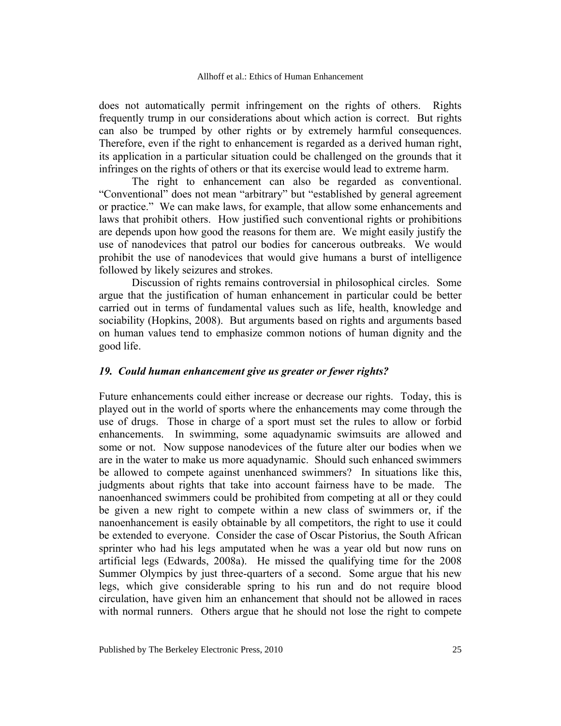does not automatically permit infringement on the rights of others. Rights frequently trump in our considerations about which action is correct. But rights can also be trumped by other rights or by extremely harmful consequences. Therefore, even if the right to enhancement is regarded as a derived human right, its application in a particular situation could be challenged on the grounds that it infringes on the rights of others or that its exercise would lead to extreme harm.

The right to enhancement can also be regarded as conventional. "Conventional" does not mean "arbitrary" but "established by general agreement or practice." We can make laws, for example, that allow some enhancements and laws that prohibit others. How justified such conventional rights or prohibitions are depends upon how good the reasons for them are. We might easily justify the use of nanodevices that patrol our bodies for cancerous outbreaks. We would prohibit the use of nanodevices that would give humans a burst of intelligence followed by likely seizures and strokes.

Discussion of rights remains controversial in philosophical circles. Some argue that the justification of human enhancement in particular could be better carried out in terms of fundamental values such as life, health, knowledge and sociability (Hopkins, 2008). But arguments based on rights and arguments based on human values tend to emphasize common notions of human dignity and the good life.

#### *19. Could human enhancement give us greater or fewer rights?*

Future enhancements could either increase or decrease our rights. Today, this is played out in the world of sports where the enhancements may come through the use of drugs. Those in charge of a sport must set the rules to allow or forbid enhancements. In swimming, some aquadynamic swimsuits are allowed and some or not. Now suppose nanodevices of the future alter our bodies when we are in the water to make us more aquadynamic. Should such enhanced swimmers be allowed to compete against unenhanced swimmers? In situations like this, judgments about rights that take into account fairness have to be made. The nanoenhanced swimmers could be prohibited from competing at all or they could be given a new right to compete within a new class of swimmers or, if the nanoenhancement is easily obtainable by all competitors, the right to use it could be extended to everyone. Consider the case of Oscar Pistorius, the South African sprinter who had his legs amputated when he was a year old but now runs on artificial legs (Edwards, 2008a). He missed the qualifying time for the 2008 Summer Olympics by just three-quarters of a second. Some argue that his new legs, which give considerable spring to his run and do not require blood circulation, have given him an enhancement that should not be allowed in races with normal runners. Others argue that he should not lose the right to compete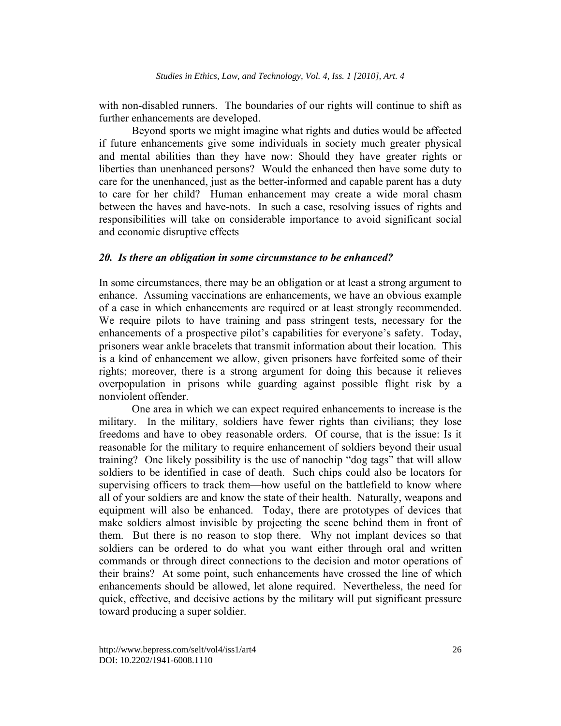with non-disabled runners. The boundaries of our rights will continue to shift as further enhancements are developed.

Beyond sports we might imagine what rights and duties would be affected if future enhancements give some individuals in society much greater physical and mental abilities than they have now: Should they have greater rights or liberties than unenhanced persons? Would the enhanced then have some duty to care for the unenhanced, just as the better-informed and capable parent has a duty to care for her child? Human enhancement may create a wide moral chasm between the haves and have-nots. In such a case, resolving issues of rights and responsibilities will take on considerable importance to avoid significant social and economic disruptive effects

### *20. Is there an obligation in some circumstance to be enhanced?*

In some circumstances, there may be an obligation or at least a strong argument to enhance. Assuming vaccinations are enhancements, we have an obvious example of a case in which enhancements are required or at least strongly recommended. We require pilots to have training and pass stringent tests, necessary for the enhancements of a prospective pilot's capabilities for everyone's safety. Today, prisoners wear ankle bracelets that transmit information about their location. This is a kind of enhancement we allow, given prisoners have forfeited some of their rights; moreover, there is a strong argument for doing this because it relieves overpopulation in prisons while guarding against possible flight risk by a nonviolent offender.

One area in which we can expect required enhancements to increase is the military. In the military, soldiers have fewer rights than civilians; they lose freedoms and have to obey reasonable orders. Of course, that is the issue: Is it reasonable for the military to require enhancement of soldiers beyond their usual training? One likely possibility is the use of nanochip "dog tags" that will allow soldiers to be identified in case of death. Such chips could also be locators for supervising officers to track them—how useful on the battlefield to know where all of your soldiers are and know the state of their health. Naturally, weapons and equipment will also be enhanced. Today, there are prototypes of devices that make soldiers almost invisible by projecting the scene behind them in front of them. But there is no reason to stop there. Why not implant devices so that soldiers can be ordered to do what you want either through oral and written commands or through direct connections to the decision and motor operations of their brains? At some point, such enhancements have crossed the line of which enhancements should be allowed, let alone required. Nevertheless, the need for quick, effective, and decisive actions by the military will put significant pressure toward producing a super soldier.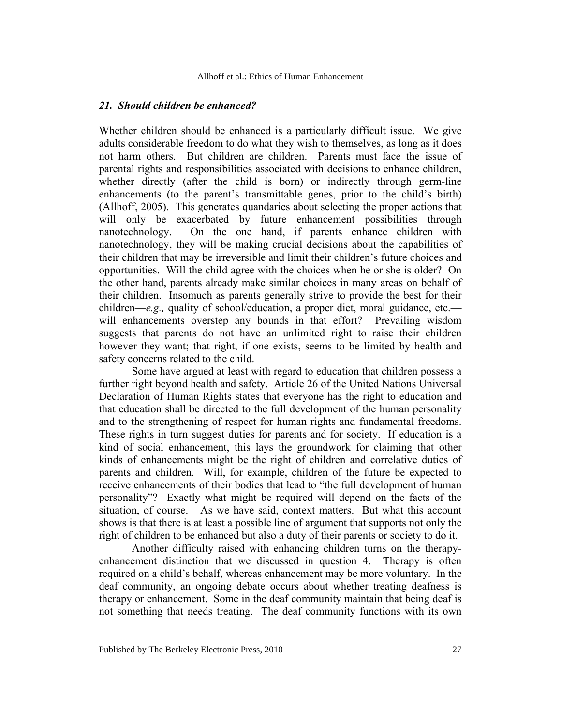#### *21. Should children be enhanced?*

Whether children should be enhanced is a particularly difficult issue. We give adults considerable freedom to do what they wish to themselves, as long as it does not harm others. But children are children. Parents must face the issue of parental rights and responsibilities associated with decisions to enhance children, whether directly (after the child is born) or indirectly through germ-line enhancements (to the parent's transmittable genes, prior to the child's birth) (Allhoff, 2005). This generates quandaries about selecting the proper actions that will only be exacerbated by future enhancement possibilities through nanotechnology. On the one hand, if parents enhance children with nanotechnology, they will be making crucial decisions about the capabilities of their children that may be irreversible and limit their children's future choices and opportunities. Will the child agree with the choices when he or she is older? On the other hand, parents already make similar choices in many areas on behalf of their children. Insomuch as parents generally strive to provide the best for their children—*e.g.*, quality of school/education, a proper diet, moral guidance, etc. will enhancements overstep any bounds in that effort? Prevailing wisdom suggests that parents do not have an unlimited right to raise their children however they want; that right, if one exists, seems to be limited by health and safety concerns related to the child.

Some have argued at least with regard to education that children possess a further right beyond health and safety. Article 26 of the United Nations Universal Declaration of Human Rights states that everyone has the right to education and that education shall be directed to the full development of the human personality and to the strengthening of respect for human rights and fundamental freedoms. These rights in turn suggest duties for parents and for society. If education is a kind of social enhancement, this lays the groundwork for claiming that other kinds of enhancements might be the right of children and correlative duties of parents and children. Will, for example, children of the future be expected to receive enhancements of their bodies that lead to "the full development of human personality"? Exactly what might be required will depend on the facts of the situation, of course. As we have said, context matters. But what this account shows is that there is at least a possible line of argument that supports not only the right of children to be enhanced but also a duty of their parents or society to do it.

Another difficulty raised with enhancing children turns on the therapyenhancement distinction that we discussed in question 4. Therapy is often required on a child's behalf, whereas enhancement may be more voluntary. In the deaf community, an ongoing debate occurs about whether treating deafness is therapy or enhancement. Some in the deaf community maintain that being deaf is not something that needs treating. The deaf community functions with its own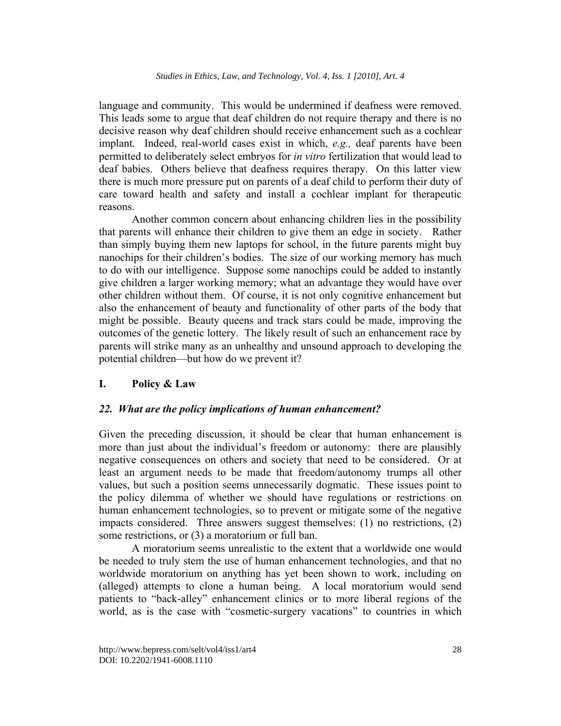language and community. This would be undermined if deafness were removed. This leads some to argue that deaf children do not require therapy and there is no decisive reason why deaf children should receive enhancement such as a cochlear implant. Indeed, real-world cases exist in which, *e.g.,* deaf parents have been permitted to deliberately select embryos for *in vitro* fertilization that would lead to deaf babies. Others believe that deafness requires therapy. On this latter view there is much more pressure put on parents of a deaf child to perform their duty of care toward health and safety and install a cochlear implant for therapeutic reasons.

Another common concern about enhancing children lies in the possibility that parents will enhance their children to give them an edge in society. Rather than simply buying them new laptops for school, in the future parents might buy nanochips for their children's bodies. The size of our working memory has much to do with our intelligence. Suppose some nanochips could be added to instantly give children a larger working memory; what an advantage they would have over other children without them. Of course, it is not only cognitive enhancement but also the enhancement of beauty and functionality of other parts of the body that might be possible. Beauty queens and track stars could be made, improving the outcomes of the genetic lottery. The likely result of such an enhancement race by parents will strike many as an unhealthy and unsound approach to developing the potential children—but how do we prevent it?

#### **I. Policy & Law**

#### *22. What are the policy implications of human enhancement?*

Given the preceding discussion, it should be clear that human enhancement is more than just about the individual's freedom or autonomy: there are plausibly negative consequences on others and society that need to be considered. Or at least an argument needs to be made that freedom/autonomy trumps all other values, but such a position seems unnecessarily dogmatic. These issues point to the policy dilemma of whether we should have regulations or restrictions on human enhancement technologies, so to prevent or mitigate some of the negative impacts considered. Three answers suggest themselves: (1) no restrictions, (2) some restrictions, or (3) a moratorium or full ban.

A moratorium seems unrealistic to the extent that a worldwide one would be needed to truly stem the use of human enhancement technologies, and that no worldwide moratorium on anything has yet been shown to work, including on (alleged) attempts to clone a human being. A local moratorium would send patients to "back-alley" enhancement clinics or to more liberal regions of the world, as is the case with "cosmetic-surgery vacations" to countries in which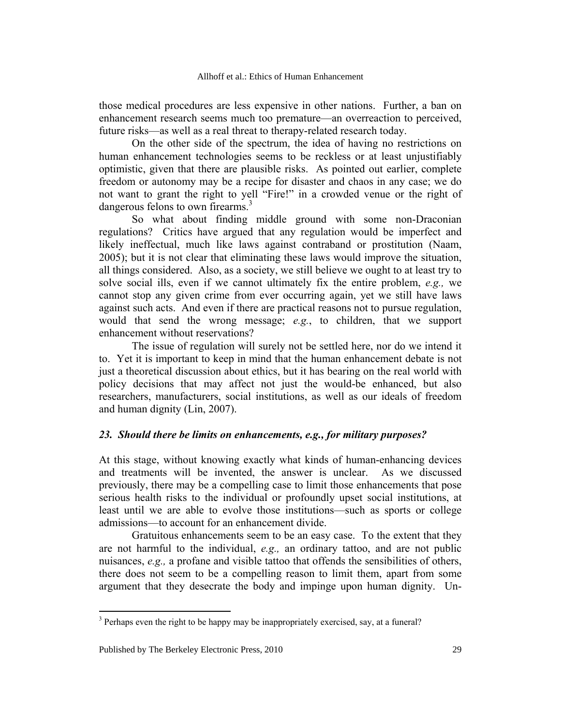those medical procedures are less expensive in other nations. Further, a ban on enhancement research seems much too premature—an overreaction to perceived, future risks—as well as a real threat to therapy-related research today.

On the other side of the spectrum, the idea of having no restrictions on human enhancement technologies seems to be reckless or at least unjustifiably optimistic, given that there are plausible risks. As pointed out earlier, complete freedom or autonomy may be a recipe for disaster and chaos in any case; we do not want to grant the right to yell "Fire!" in a crowded venue or the right of dangerous felons to own firearms.<sup>3</sup>

So what about finding middle ground with some non-Draconian regulations? Critics have argued that any regulation would be imperfect and likely ineffectual, much like laws against contraband or prostitution (Naam, 2005); but it is not clear that eliminating these laws would improve the situation, all things considered. Also, as a society, we still believe we ought to at least try to solve social ills, even if we cannot ultimately fix the entire problem, *e.g.,* we cannot stop any given crime from ever occurring again, yet we still have laws against such acts. And even if there are practical reasons not to pursue regulation, would that send the wrong message; *e.g.*, to children, that we support enhancement without reservations?

The issue of regulation will surely not be settled here, nor do we intend it to. Yet it is important to keep in mind that the human enhancement debate is not just a theoretical discussion about ethics, but it has bearing on the real world with policy decisions that may affect not just the would-be enhanced, but also researchers, manufacturers, social institutions, as well as our ideals of freedom and human dignity (Lin, 2007).

### *23. Should there be limits on enhancements, e.g., for military purposes?*

At this stage, without knowing exactly what kinds of human-enhancing devices and treatments will be invented, the answer is unclear. As we discussed previously, there may be a compelling case to limit those enhancements that pose serious health risks to the individual or profoundly upset social institutions, at least until we are able to evolve those institutions—such as sports or college admissions—to account for an enhancement divide.

Gratuitous enhancements seem to be an easy case. To the extent that they are not harmful to the individual, *e.g.,* an ordinary tattoo, and are not public nuisances, *e.g.,* a profane and visible tattoo that offends the sensibilities of others, there does not seem to be a compelling reason to limit them, apart from some argument that they desecrate the body and impinge upon human dignity. Un-

 $\overline{a}$ 

 $3$  Perhaps even the right to be happy may be inappropriately exercised, say, at a funeral?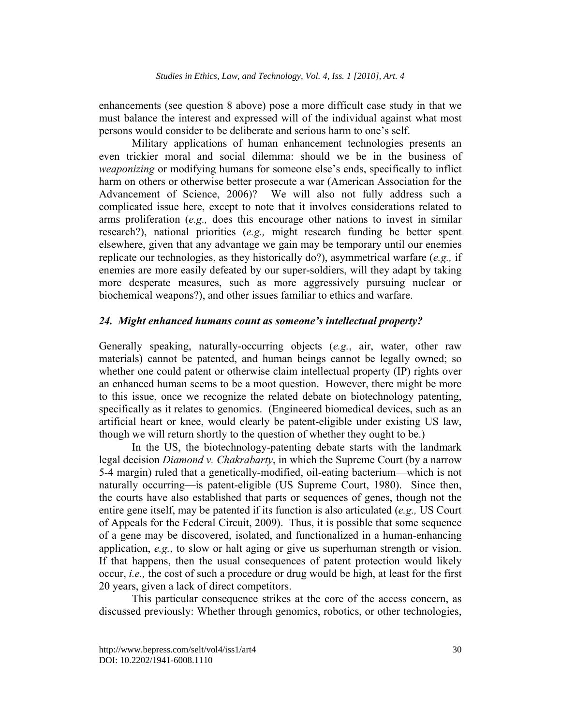enhancements (see question 8 above) pose a more difficult case study in that we must balance the interest and expressed will of the individual against what most persons would consider to be deliberate and serious harm to one's self.

Military applications of human enhancement technologies presents an even trickier moral and social dilemma: should we be in the business of *weaponizing* or modifying humans for someone else's ends, specifically to inflict harm on others or otherwise better prosecute a war (American Association for the Advancement of Science, 2006)? We will also not fully address such a complicated issue here, except to note that it involves considerations related to arms proliferation (*e.g.,* does this encourage other nations to invest in similar research?), national priorities (*e.g.,* might research funding be better spent elsewhere, given that any advantage we gain may be temporary until our enemies replicate our technologies, as they historically do?), asymmetrical warfare (*e.g.,* if enemies are more easily defeated by our super-soldiers, will they adapt by taking more desperate measures, such as more aggressively pursuing nuclear or biochemical weapons?), and other issues familiar to ethics and warfare.

#### *24. Might enhanced humans count as someone's intellectual property?*

Generally speaking, naturally-occurring objects (*e.g.*, air, water, other raw materials) cannot be patented, and human beings cannot be legally owned; so whether one could patent or otherwise claim intellectual property (IP) rights over an enhanced human seems to be a moot question. However, there might be more to this issue, once we recognize the related debate on biotechnology patenting, specifically as it relates to genomics. (Engineered biomedical devices, such as an artificial heart or knee, would clearly be patent-eligible under existing US law, though we will return shortly to the question of whether they ought to be.)

In the US, the biotechnology-patenting debate starts with the landmark legal decision *Diamond v. Chakrabarty*, in which the Supreme Court (by a narrow 5-4 margin) ruled that a genetically-modified, oil-eating bacterium—which is not naturally occurring—is patent-eligible (US Supreme Court, 1980). Since then, the courts have also established that parts or sequences of genes, though not the entire gene itself, may be patented if its function is also articulated (*e.g.,* US Court of Appeals for the Federal Circuit, 2009). Thus, it is possible that some sequence of a gene may be discovered, isolated, and functionalized in a human-enhancing application, *e.g.*, to slow or halt aging or give us superhuman strength or vision. If that happens, then the usual consequences of patent protection would likely occur, *i.e.,* the cost of such a procedure or drug would be high, at least for the first 20 years, given a lack of direct competitors.

This particular consequence strikes at the core of the access concern, as discussed previously: Whether through genomics, robotics, or other technologies,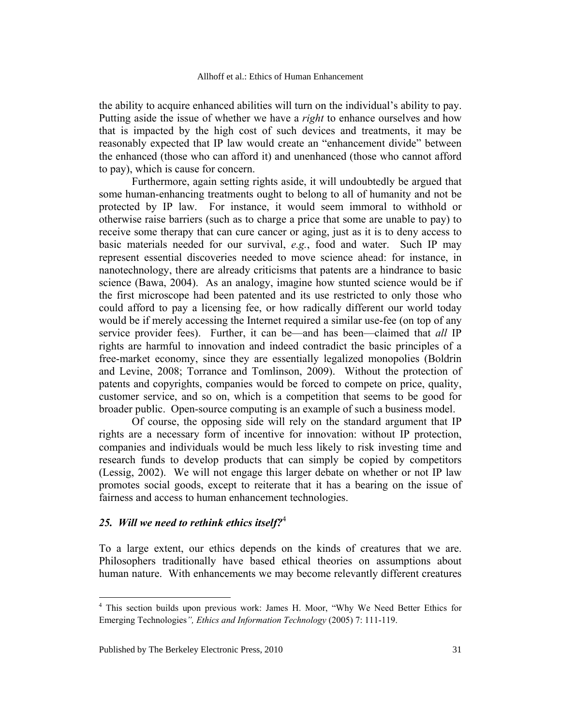the ability to acquire enhanced abilities will turn on the individual's ability to pay. Putting aside the issue of whether we have a *right* to enhance ourselves and how that is impacted by the high cost of such devices and treatments, it may be reasonably expected that IP law would create an "enhancement divide" between the enhanced (those who can afford it) and unenhanced (those who cannot afford to pay), which is cause for concern.

Furthermore, again setting rights aside, it will undoubtedly be argued that some human-enhancing treatments ought to belong to all of humanity and not be protected by IP law. For instance, it would seem immoral to withhold or otherwise raise barriers (such as to charge a price that some are unable to pay) to receive some therapy that can cure cancer or aging, just as it is to deny access to basic materials needed for our survival, *e.g.*, food and water. Such IP may represent essential discoveries needed to move science ahead: for instance, in nanotechnology, there are already criticisms that patents are a hindrance to basic science (Bawa, 2004). As an analogy, imagine how stunted science would be if the first microscope had been patented and its use restricted to only those who could afford to pay a licensing fee, or how radically different our world today would be if merely accessing the Internet required a similar use-fee (on top of any service provider fees). Further, it can be—and has been—claimed that *all* IP rights are harmful to innovation and indeed contradict the basic principles of a free-market economy, since they are essentially legalized monopolies (Boldrin and Levine, 2008; Torrance and Tomlinson, 2009). Without the protection of patents and copyrights, companies would be forced to compete on price, quality, customer service, and so on, which is a competition that seems to be good for broader public. Open-source computing is an example of such a business model.

Of course, the opposing side will rely on the standard argument that IP rights are a necessary form of incentive for innovation: without IP protection, companies and individuals would be much less likely to risk investing time and research funds to develop products that can simply be copied by competitors (Lessig, 2002). We will not engage this larger debate on whether or not IP law promotes social goods, except to reiterate that it has a bearing on the issue of fairness and access to human enhancement technologies.

#### *25. Will we need to rethink ethics itself?*<sup>4</sup>

To a large extent, our ethics depends on the kinds of creatures that we are. Philosophers traditionally have based ethical theories on assumptions about human nature. With enhancements we may become relevantly different creatures

 $\overline{a}$ 

<sup>&</sup>lt;sup>4</sup> This section builds upon previous work: James H. Moor, "Why We Need Better Ethics for Emerging Technologies*", Ethics and Information Technology* (2005) 7: 111-119.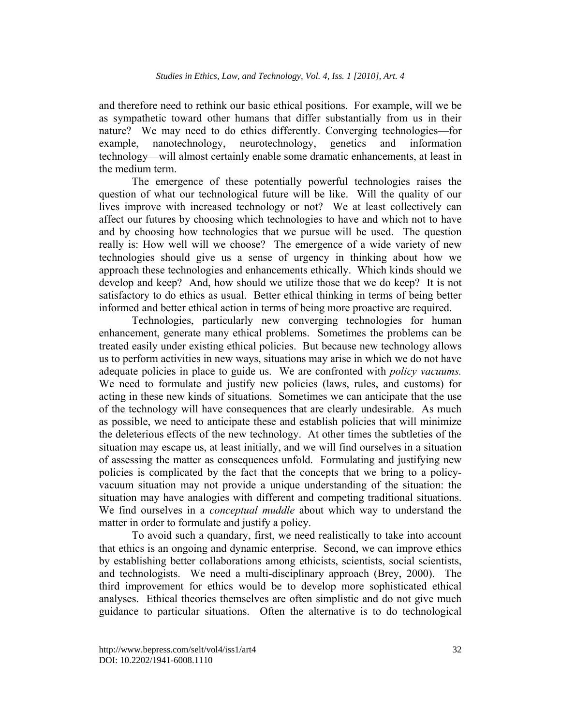and therefore need to rethink our basic ethical positions. For example, will we be as sympathetic toward other humans that differ substantially from us in their nature? We may need to do ethics differently. Converging technologies—for example, nanotechnology, neurotechnology, genetics and information technology—will almost certainly enable some dramatic enhancements, at least in the medium term.

The emergence of these potentially powerful technologies raises the question of what our technological future will be like. Will the quality of our lives improve with increased technology or not? We at least collectively can affect our futures by choosing which technologies to have and which not to have and by choosing how technologies that we pursue will be used. The question really is: How well will we choose? The emergence of a wide variety of new technologies should give us a sense of urgency in thinking about how we approach these technologies and enhancements ethically. Which kinds should we develop and keep? And, how should we utilize those that we do keep? It is not satisfactory to do ethics as usual. Better ethical thinking in terms of being better informed and better ethical action in terms of being more proactive are required.

Technologies, particularly new converging technologies for human enhancement, generate many ethical problems. Sometimes the problems can be treated easily under existing ethical policies. But because new technology allows us to perform activities in new ways, situations may arise in which we do not have adequate policies in place to guide us. We are confronted with *policy vacuums.*  We need to formulate and justify new policies (laws, rules, and customs) for acting in these new kinds of situations. Sometimes we can anticipate that the use of the technology will have consequences that are clearly undesirable. As much as possible, we need to anticipate these and establish policies that will minimize the deleterious effects of the new technology. At other times the subtleties of the situation may escape us, at least initially, and we will find ourselves in a situation of assessing the matter as consequences unfold. Formulating and justifying new policies is complicated by the fact that the concepts that we bring to a policyvacuum situation may not provide a unique understanding of the situation: the situation may have analogies with different and competing traditional situations. We find ourselves in a *conceptual muddle* about which way to understand the matter in order to formulate and justify a policy.

To avoid such a quandary, first, we need realistically to take into account that ethics is an ongoing and dynamic enterprise. Second, we can improve ethics by establishing better collaborations among ethicists, scientists, social scientists, and technologists. We need a multi-disciplinary approach (Brey, 2000). The third improvement for ethics would be to develop more sophisticated ethical analyses. Ethical theories themselves are often simplistic and do not give much guidance to particular situations. Often the alternative is to do technological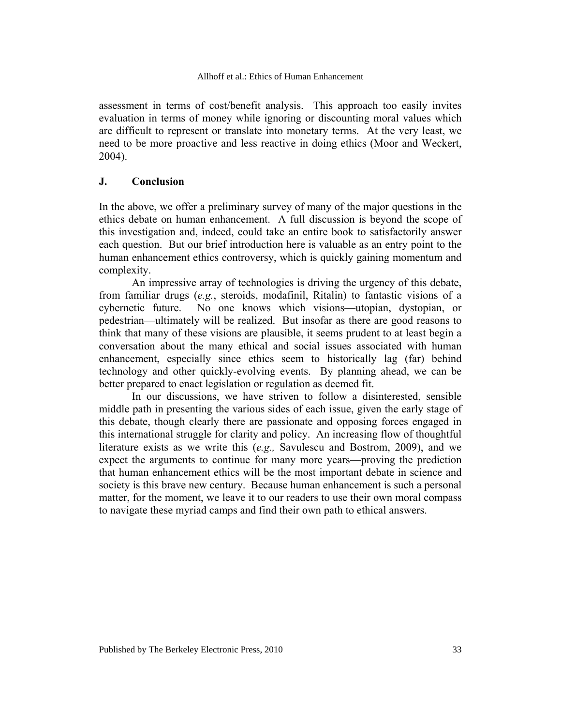assessment in terms of cost/benefit analysis. This approach too easily invites evaluation in terms of money while ignoring or discounting moral values which are difficult to represent or translate into monetary terms. At the very least, we need to be more proactive and less reactive in doing ethics (Moor and Weckert, 2004).

## **J. Conclusion**

In the above, we offer a preliminary survey of many of the major questions in the ethics debate on human enhancement. A full discussion is beyond the scope of this investigation and, indeed, could take an entire book to satisfactorily answer each question. But our brief introduction here is valuable as an entry point to the human enhancement ethics controversy, which is quickly gaining momentum and complexity.

An impressive array of technologies is driving the urgency of this debate, from familiar drugs (*e.g.*, steroids, modafinil, Ritalin) to fantastic visions of a cybernetic future. No one knows which visions—utopian, dystopian, or pedestrian—ultimately will be realized. But insofar as there are good reasons to think that many of these visions are plausible, it seems prudent to at least begin a conversation about the many ethical and social issues associated with human enhancement, especially since ethics seem to historically lag (far) behind technology and other quickly-evolving events. By planning ahead, we can be better prepared to enact legislation or regulation as deemed fit.

In our discussions, we have striven to follow a disinterested, sensible middle path in presenting the various sides of each issue, given the early stage of this debate, though clearly there are passionate and opposing forces engaged in this international struggle for clarity and policy. An increasing flow of thoughtful literature exists as we write this (*e.g.,* Savulescu and Bostrom, 2009), and we expect the arguments to continue for many more years—proving the prediction that human enhancement ethics will be the most important debate in science and society is this brave new century. Because human enhancement is such a personal matter, for the moment, we leave it to our readers to use their own moral compass to navigate these myriad camps and find their own path to ethical answers.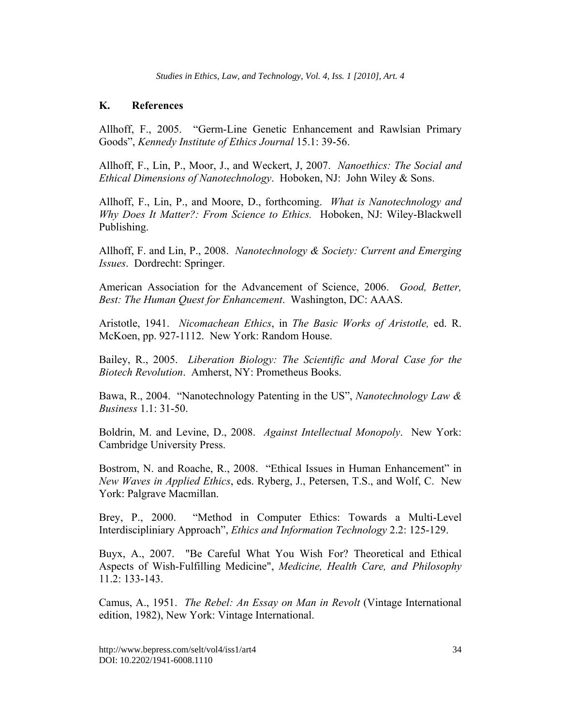*Studies in Ethics, Law, and Technology, Vol. 4, Iss. 1 [2010], Art. 4*

## **K. References**

Allhoff, F., 2005. "Germ-Line Genetic Enhancement and Rawlsian Primary Goods", *Kennedy Institute of Ethics Journal* 15.1: 39-56.

Allhoff, F., Lin, P., Moor, J., and Weckert, J, 2007. *Nanoethics: The Social and Ethical Dimensions of Nanotechnology*. Hoboken, NJ: John Wiley & Sons.

Allhoff, F., Lin, P., and Moore, D., forthcoming. *What is Nanotechnology and Why Does It Matter?: From Science to Ethics.* Hoboken, NJ: Wiley-Blackwell Publishing.

Allhoff, F. and Lin, P., 2008. *Nanotechnology & Society: Current and Emerging Issues*. Dordrecht: Springer.

American Association for the Advancement of Science, 2006. *Good, Better, Best: The Human Quest for Enhancement*. Washington, DC: AAAS.

Aristotle, 1941. *Nicomachean Ethics*, in *The Basic Works of Aristotle,* ed. R. McKoen, pp. 927-1112. New York: Random House.

Bailey, R., 2005. *Liberation Biology: The Scientific and Moral Case for the Biotech Revolution*. Amherst, NY: Prometheus Books.

Bawa, R., 2004. "Nanotechnology Patenting in the US", *Nanotechnology Law & Business* 1.1: 31-50.

Boldrin, M. and Levine, D., 2008. *Against Intellectual Monopoly*. New York: Cambridge University Press.

Bostrom, N. and Roache, R., 2008. "Ethical Issues in Human Enhancement" in *New Waves in Applied Ethics*, eds. Ryberg, J., Petersen, T.S., and Wolf, C. New York: Palgrave Macmillan.

Brey, P., 2000. "Method in Computer Ethics: Towards a Multi-Level Interdiscipliniary Approach", *Ethics and Information Technology* 2.2: 125-129.

Buyx, A., 2007. "Be Careful What You Wish For? Theoretical and Ethical Aspects of Wish-Fulfilling Medicine", *Medicine, Health Care, and Philosophy*  11.2: 133-143.

Camus, A., 1951. *The Rebel: An Essay on Man in Revolt* (Vintage International edition, 1982), New York: Vintage International.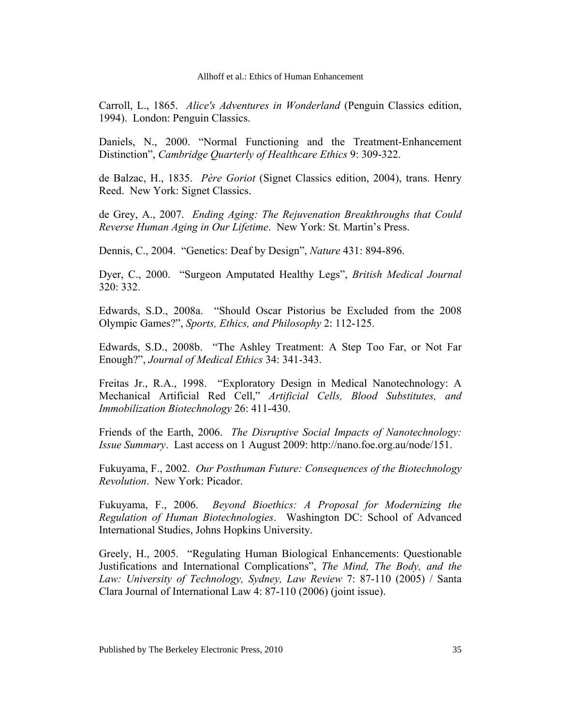Carroll, L., 1865. *Alice's Adventures in Wonderland* (Penguin Classics edition, 1994). London: Penguin Classics.

Daniels, N., 2000. "Normal Functioning and the Treatment-Enhancement Distinction", *Cambridge Quarterly of Healthcare Ethics* 9: 309-322.

de Balzac, H., 1835. *Père Goriot* (Signet Classics edition, 2004), trans. Henry Reed. New York: Signet Classics.

de Grey, A., 2007. *Ending Aging: The Rejuvenation Breakthroughs that Could Reverse Human Aging in Our Lifetime*. New York: St. Martin's Press.

Dennis, C., 2004. "Genetics: Deaf by Design", *Nature* 431: 894-896.

Dyer, C., 2000. "Surgeon Amputated Healthy Legs", *British Medical Journal* 320: 332.

Edwards, S.D., 2008a. "Should Oscar Pistorius be Excluded from the 2008 Olympic Games?", *Sports, Ethics, and Philosophy* 2: 112-125.

Edwards, S.D., 2008b. "The Ashley Treatment: A Step Too Far, or Not Far Enough?", *Journal of Medical Ethics* 34: 341-343.

Freitas Jr., R.A., 1998. "Exploratory Design in Medical Nanotechnology: A Mechanical Artificial Red Cell," *Artificial Cells, Blood Substitutes, and Immobilization Biotechnology* 26: 411-430.

Friends of the Earth, 2006. *The Disruptive Social Impacts of Nanotechnology: Issue Summary*. Last access on 1 August 2009: http://nano.foe.org.au/node/151.

Fukuyama, F., 2002. *Our Posthuman Future: Consequences of the Biotechnology Revolution*. New York: Picador.

Fukuyama, F., 2006. *Beyond Bioethics: A Proposal for Modernizing the Regulation of Human Biotechnologies*. Washington DC: School of Advanced International Studies, Johns Hopkins University.

Greely, H., 2005. "Regulating Human Biological Enhancements: Questionable Justifications and International Complications", *The Mind, The Body, and the Law: University of Technology, Sydney, Law Review* 7: 87-110 (2005) / Santa Clara Journal of International Law 4: 87-110 (2006) (joint issue).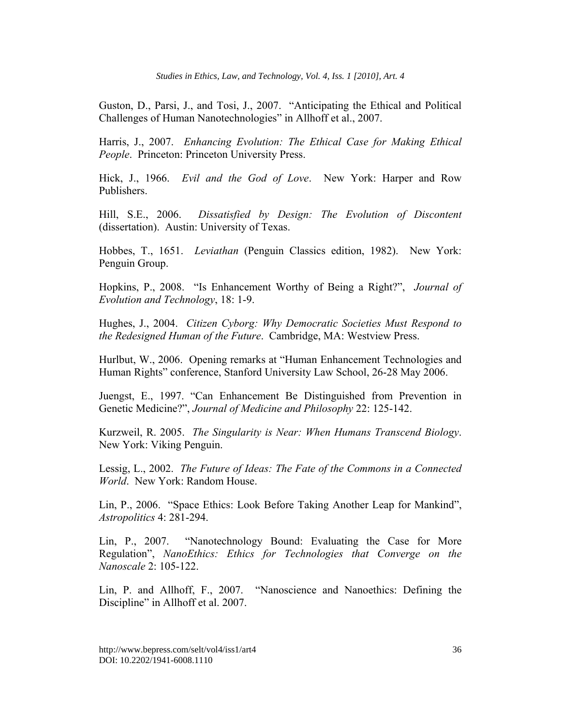Guston, D., Parsi, J., and Tosi, J., 2007. "Anticipating the Ethical and Political Challenges of Human Nanotechnologies" in Allhoff et al., 2007.

Harris, J., 2007. *Enhancing Evolution: The Ethical Case for Making Ethical People*. Princeton: Princeton University Press.

Hick, J., 1966. *Evil and the God of Love*. New York: Harper and Row Publishers.

Hill, S.E., 2006. *Dissatisfied by Design: The Evolution of Discontent* (dissertation). Austin: University of Texas.

Hobbes, T., 1651. *Leviathan* (Penguin Classics edition, 1982). New York: Penguin Group.

Hopkins, P., 2008. "Is Enhancement Worthy of Being a Right?", *Journal of Evolution and Technology*, 18: 1-9.

Hughes, J., 2004. *Citizen Cyborg: Why Democratic Societies Must Respond to the Redesigned Human of the Future*. Cambridge, MA: Westview Press.

Hurlbut, W., 2006. Opening remarks at "Human Enhancement Technologies and Human Rights" conference, Stanford University Law School, 26-28 May 2006.

Juengst, E., 1997. "Can Enhancement Be Distinguished from Prevention in Genetic Medicine?", *Journal of Medicine and Philosophy* 22: 125-142.

Kurzweil, R. 2005. *The Singularity is Near: When Humans Transcend Biology*. New York: Viking Penguin.

Lessig, L., 2002. *The Future of Ideas: The Fate of the Commons in a Connected World*. New York: Random House.

Lin, P., 2006. "Space Ethics: Look Before Taking Another Leap for Mankind", *Astropolitics* 4: 281-294.

Lin, P., 2007. "Nanotechnology Bound: Evaluating the Case for More Regulation", *NanoEthics: Ethics for Technologies that Converge on the Nanoscale* 2: 105-122.

Lin, P. and Allhoff, F., 2007. "Nanoscience and Nanoethics: Defining the Discipline" in Allhoff et al. 2007.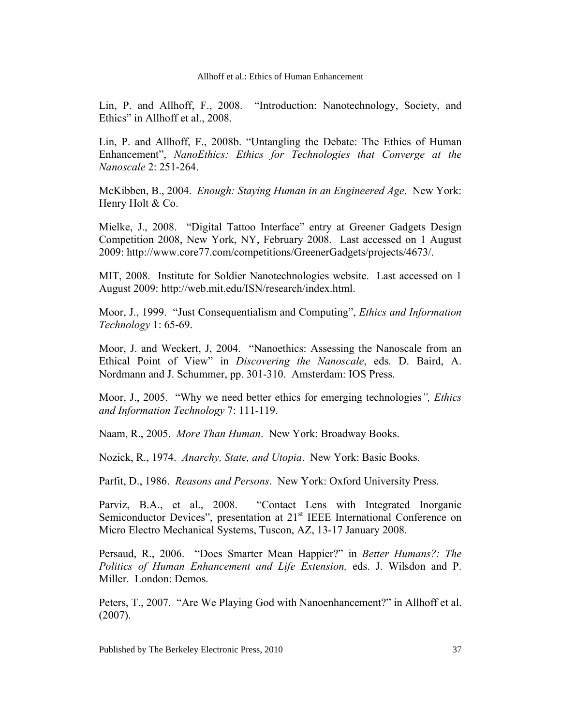Lin, P. and Allhoff, F., 2008. "Introduction: Nanotechnology, Society, and Ethics" in Allhoff et al., 2008.

Lin, P. and Allhoff, F., 2008b. "Untangling the Debate: The Ethics of Human Enhancement", *NanoEthics: Ethics for Technologies that Converge at the Nanoscale* 2: 251-264.

McKibben, B., 2004. *Enough: Staying Human in an Engineered Age*. New York: Henry Holt & Co.

Mielke, J., 2008. "Digital Tattoo Interface" entry at Greener Gadgets Design Competition 2008, New York, NY, February 2008. Last accessed on 1 August 2009: http://www.core77.com/competitions/GreenerGadgets/projects/4673/.

MIT, 2008. Institute for Soldier Nanotechnologies website. Last accessed on 1 August 2009: http://web.mit.edu/ISN/research/index.html.

Moor, J., 1999. "Just Consequentialism and Computing", *Ethics and Information Technology* 1: 65-69.

Moor, J. and Weckert, J, 2004. "Nanoethics: Assessing the Nanoscale from an Ethical Point of View" in *Discovering the Nanoscale*, eds. D. Baird, A. Nordmann and J. Schummer, pp. 301-310. Amsterdam: IOS Press.

Moor, J., 2005. "Why we need better ethics for emerging technologies*", Ethics and Information Technology* 7: 111-119.

Naam, R., 2005. *More Than Human*. New York: Broadway Books.

Nozick, R., 1974. *Anarchy, State, and Utopia*. New York: Basic Books.

Parfit, D., 1986. *Reasons and Persons*. New York: Oxford University Press.

Parviz, B.A., et al., 2008. "Contact Lens with Integrated Inorganic Semiconductor Devices", presentation at 21<sup>st</sup> IEEE International Conference on Micro Electro Mechanical Systems, Tuscon, AZ, 13-17 January 2008.

Persaud, R., 2006. "Does Smarter Mean Happier?" in *Better Humans?: The Politics of Human Enhancement and Life Extension,* eds. J. Wilsdon and P. Miller. London: Demos.

Peters, T., 2007. "Are We Playing God with Nanoenhancement?" in Allhoff et al. (2007).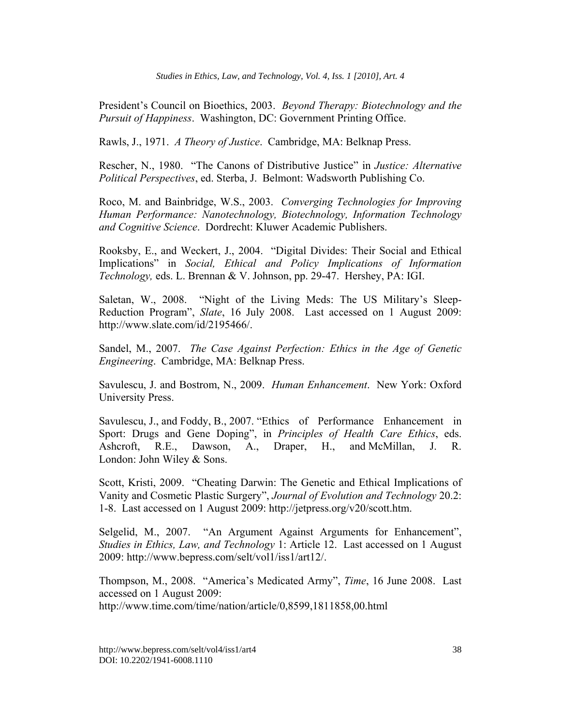President's Council on Bioethics, 2003. *Beyond Therapy: Biotechnology and the Pursuit of Happiness*. Washington, DC: Government Printing Office.

Rawls, J., 1971. *A Theory of Justice*. Cambridge, MA: Belknap Press.

Rescher, N., 1980. "The Canons of Distributive Justice" in *Justice: Alternative Political Perspectives*, ed. Sterba, J. Belmont: Wadsworth Publishing Co.

Roco, M. and Bainbridge, W.S., 2003. *Converging Technologies for Improving Human Performance: Nanotechnology, Biotechnology, Information Technology and Cognitive Science*. Dordrecht: Kluwer Academic Publishers.

Rooksby, E., and Weckert, J., 2004. "Digital Divides: Their Social and Ethical Implications" in *Social, Ethical and Policy Implications of Information Technology,* eds. L. Brennan & V. Johnson, pp. 29-47. Hershey, PA: IGI.

Saletan, W., 2008. "Night of the Living Meds: The US Military's Sleep-Reduction Program", *Slate*, 16 July 2008. Last accessed on 1 August 2009: http://www.slate.com/id/2195466/.

Sandel, M., 2007. *The Case Against Perfection: Ethics in the Age of Genetic Engineering*. Cambridge, MA: Belknap Press.

Savulescu, J. and Bostrom, N., 2009. *Human Enhancement*. New York: Oxford University Press.

Savulescu, J., and Foddy, B., 2007. "Ethics of Performance Enhancement in Sport: Drugs and Gene Doping", in *Principles of Health Care Ethics*, eds. Ashcroft, R.E., Dawson, A., Draper, H., and McMillan, J. R. London: John Wiley & Sons.

Scott, Kristi, 2009. "Cheating Darwin: The Genetic and Ethical Implications of Vanity and Cosmetic Plastic Surgery", *Journal of Evolution and Technology* 20.2: 1-8. Last accessed on 1 August 2009: http://jetpress.org/v20/scott.htm.

Selgelid, M., 2007. "An Argument Against Arguments for Enhancement", *Studies in Ethics, Law, and Technology* 1: Article 12. Last accessed on 1 August 2009: http://www.bepress.com/selt/vol1/iss1/art12/.

Thompson, M., 2008. "America's Medicated Army", *Time*, 16 June 2008. Last accessed on 1 August 2009: http://www.time.com/time/nation/article/0,8599,1811858,00.html